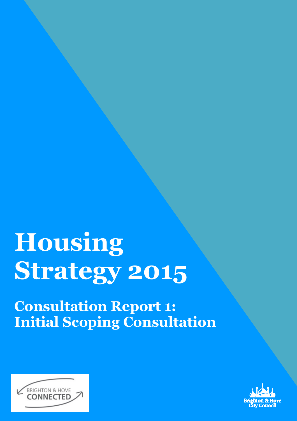# Housing Strategy 2015

Consultation Report 1: Initial Scoping Consultation



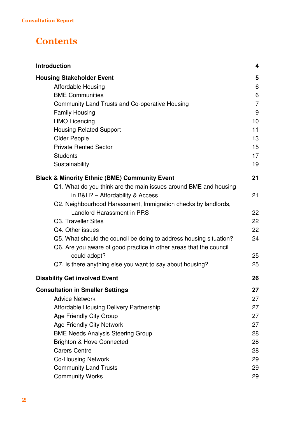#### **Contents**

| <b>Introduction</b>                                                                                                                      | 4              |
|------------------------------------------------------------------------------------------------------------------------------------------|----------------|
| <b>Housing Stakeholder Event</b><br><b>Affordable Housing</b>                                                                            | 5<br>6         |
| <b>BME Communities</b>                                                                                                                   | 6              |
| Community Land Trusts and Co-operative Housing                                                                                           | $\overline{7}$ |
| <b>Family Housing</b>                                                                                                                    | 9              |
| <b>HMO Licencing</b>                                                                                                                     | 10             |
| <b>Housing Related Support</b>                                                                                                           | 11             |
| <b>Older People</b>                                                                                                                      | 13             |
| <b>Private Rented Sector</b>                                                                                                             | 15             |
| <b>Students</b>                                                                                                                          | 17             |
| Sustainability                                                                                                                           | 19             |
| <b>Black &amp; Minority Ethnic (BME) Community Event</b>                                                                                 | 21             |
| Q1. What do you think are the main issues around BME and housing                                                                         |                |
| in B&H? - Affordability & Access                                                                                                         | 21             |
| Q2. Neighbourhood Harassment, Immigration checks by landlords,                                                                           |                |
| <b>Landlord Harassment in PRS</b>                                                                                                        | 22             |
| Q3. Traveller Sites                                                                                                                      | 22             |
| Q4. Other issues                                                                                                                         | 22             |
| Q5. What should the council be doing to address housing situation?<br>Q6. Are you aware of good practice in other areas that the council | 24             |
| could adopt?                                                                                                                             | 25             |
| Q7. Is there anything else you want to say about housing?                                                                                | 25             |
| <b>Disability Get involved Event</b>                                                                                                     | 26             |
| <b>Consultation in Smaller Settings</b>                                                                                                  | 27             |
| <b>Advice Network</b>                                                                                                                    | 27             |
| Affordable Housing Delivery Partnership                                                                                                  | 27             |
| <b>Age Friendly City Group</b>                                                                                                           | 27             |
| <b>Age Friendly City Network</b>                                                                                                         | 27             |
| <b>BME Needs Analysis Steering Group</b>                                                                                                 | 28             |
| <b>Brighton &amp; Hove Connected</b>                                                                                                     | 28             |
| <b>Carers Centre</b>                                                                                                                     | 28             |
| <b>Co-Housing Network</b>                                                                                                                | 29             |
| <b>Community Land Trusts</b>                                                                                                             | 29             |
| <b>Community Works</b>                                                                                                                   | 29             |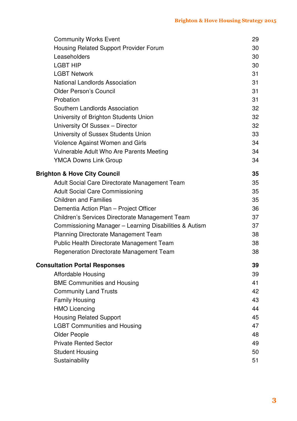| <b>Community Works Event</b>                           | 29 |
|--------------------------------------------------------|----|
| Housing Related Support Provider Forum                 | 30 |
| Leaseholders                                           | 30 |
| <b>LGBT HIP</b>                                        | 30 |
| <b>LGBT Network</b>                                    | 31 |
| <b>National Landlords Association</b>                  | 31 |
| <b>Older Person's Council</b>                          | 31 |
| Probation                                              | 31 |
| Southern Landlords Association                         | 32 |
| University of Brighton Students Union                  | 32 |
| University Of Sussex - Director                        | 32 |
| University of Sussex Students Union                    | 33 |
| Violence Against Women and Girls                       | 34 |
| Vulnerable Adult Who Are Parents Meeting               | 34 |
| <b>YMCA Downs Link Group</b>                           | 34 |
| <b>Brighton &amp; Hove City Council</b>                | 35 |
| Adult Social Care Directorate Management Team          | 35 |
| <b>Adult Social Care Commissioning</b>                 | 35 |
| <b>Children and Families</b>                           | 35 |
| Dementia Action Plan - Project Officer                 | 36 |
| Children's Services Directorate Management Team        | 37 |
| Commissioning Manager - Learning Disabilities & Autism | 37 |
| <b>Planning Directorate Management Team</b>            | 38 |
| Public Health Directorate Management Team              | 38 |
| <b>Regeneration Directorate Management Team</b>        | 38 |
| <b>Consultation Portal Responses</b>                   | 39 |
| <b>Affordable Housing</b>                              | 39 |
| <b>BME Communities and Housing</b>                     | 41 |
| <b>Community Land Trusts</b>                           | 42 |
| <b>Family Housing</b>                                  | 43 |
| <b>HMO Licencing</b>                                   | 44 |
| <b>Housing Related Support</b>                         | 45 |
| <b>LGBT Communities and Housing</b>                    | 47 |
| <b>Older People</b>                                    | 48 |
| <b>Private Rented Sector</b>                           | 49 |
| <b>Student Housing</b>                                 | 50 |
| Sustainability                                         | 51 |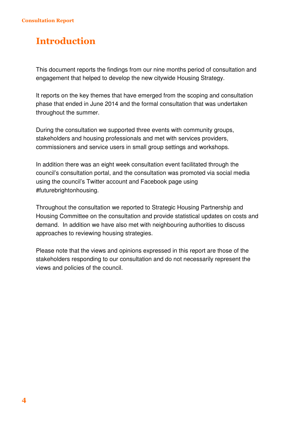### Introduction

This document reports the findings from our nine months period of consultation and engagement that helped to develop the new citywide Housing Strategy.

It reports on the key themes that have emerged from the scoping and consultation phase that ended in June 2014 and the formal consultation that was undertaken throughout the summer.

During the consultation we supported three events with community groups, stakeholders and housing professionals and met with services providers, commissioners and service users in small group settings and workshops.

In addition there was an eight week consultation event facilitated through the council's consultation portal, and the consultation was promoted via social media using the council's Twitter account and Facebook page using #futurebrightonhousing.

Throughout the consultation we reported to Strategic Housing Partnership and Housing Committee on the consultation and provide statistical updates on costs and demand. In addition we have also met with neighbouring authorities to discuss approaches to reviewing housing strategies.

Please note that the views and opinions expressed in this report are those of the stakeholders responding to our consultation and do not necessarily represent the views and policies of the council.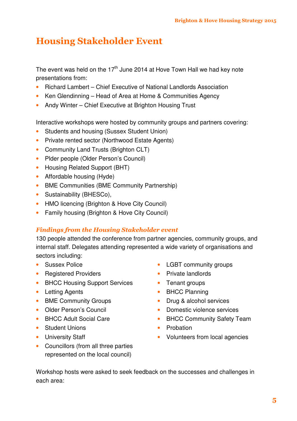### Housing Stakeholder Event

The event was held on the  $17<sup>th</sup>$  June 2014 at Hove Town Hall we had key note presentations from:

- Richard Lambert Chief Executive of National Landlords Association
- Ken Glendinning Head of Area at Home & Communities Agency
- Andy Winter Chief Executive at Brighton Housing Trust

Interactive workshops were hosted by community groups and partners covering:

- Students and housing (Sussex Student Union)
- Private rented sector (Northwood Estate Agents)
- Community Land Trusts (Brighton CLT)
- Plder people (Older Person's Council)
- Housing Related Support (BHT)
- Affordable housing (Hyde)
- BME Communities (BME Community Partnership)
- Sustainability (BHESCo),
- HMO licencing (Brighton & Hove City Council)
- Family housing (Brighton & Hove City Council)

#### Findings from the Housing Stakeholder event

130 people attended the conference from partner agencies, community groups, and internal staff. Delegates attending represented a wide variety of organisations and sectors including:

- Sussex Police
- Registered Providers
- BHCC Housing Support Services
- Letting Agents
- BME Community Groups
- Older Person's Council
- BHCC Adult Social Care
- Student Unions
- University Staff
- Councillors (from all three parties represented on the local council)
- LGBT community groups
- Private landlords
- Tenant groups
- **BHCC Planning**
- Drug & alcohol services
- Domestic violence services
- BHCC Community Safety Team
- Probation
- Volunteers from local agencies

Workshop hosts were asked to seek feedback on the successes and challenges in each area: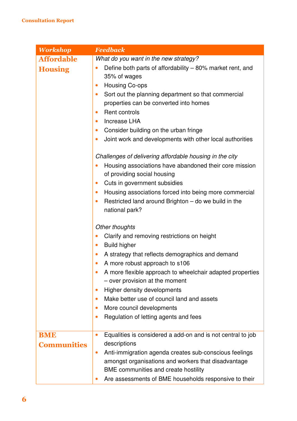| <b>Workshop</b>    | <b>Feedback</b>                                                                                            |
|--------------------|------------------------------------------------------------------------------------------------------------|
| <b>Affordable</b>  | What do you want in the new strategy?                                                                      |
| <b>Housing</b>     | Define both parts of affordability - 80% market rent, and<br>$\bullet$<br>35% of wages                     |
|                    | <b>Housing Co-ops</b><br>$\bullet$                                                                         |
|                    | Sort out the planning department so that commercial<br>$\bullet$<br>properties can be converted into homes |
|                    | Rent controls<br>$\bullet$                                                                                 |
|                    | <b>Increase LHA</b><br>$\bullet$                                                                           |
|                    | Consider building on the urban fringe<br>$\bullet$                                                         |
|                    | Joint work and developments with other local authorities<br>$\bullet$                                      |
|                    | Challenges of delivering affordable housing in the city                                                    |
|                    | Housing associations have abandoned their core mission<br>$\bullet$<br>of providing social housing         |
|                    | Cuts in government subsidies<br>$\bullet$                                                                  |
|                    | Housing associations forced into being more commercial<br>$\bullet$                                        |
|                    | Restricted land around Brighton – do we build in the<br>$\bullet$<br>national park?                        |
|                    | Other thoughts                                                                                             |
|                    | Clarify and removing restrictions on height<br>$\bullet$                                                   |
|                    | <b>Build higher</b><br>$\bullet$                                                                           |
|                    | A strategy that reflects demographics and demand<br>$\bullet$                                              |
|                    | A more robust approach to s106<br>$\bullet$                                                                |
|                    | A more flexible approach to wheelchair adapted properties<br>- over provision at the moment                |
|                    | <b>Higher density developments</b><br>$\bullet$                                                            |
|                    | Make better use of council land and assets<br>$\bullet$                                                    |
|                    | More council developments<br>$\bullet$                                                                     |
|                    | Regulation of letting agents and fees<br>$\bullet$                                                         |
| <b>BME</b>         | Equalities is considered a add-on and is not central to job<br>$\bullet$                                   |
| <b>Communities</b> | descriptions                                                                                               |
|                    | Anti-immigration agenda creates sub-conscious feelings<br>$\bullet$                                        |
|                    | amongst organisations and workers that disadvantage                                                        |
|                    | BME communities and create hostility                                                                       |
|                    | Are assessments of BME households responsive to their                                                      |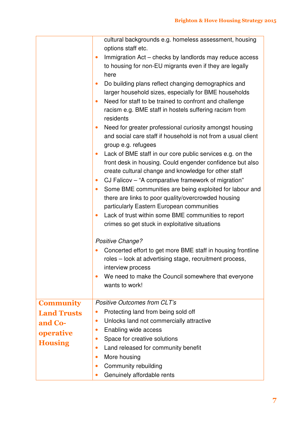|                    | cultural backgrounds e.g. homeless assessment, housing<br>options staff etc.<br>Immigration Act - checks by landlords may reduce access<br>to housing for non-EU migrants even if they are legally<br>here<br>Do building plans reflect changing demographics and<br>$\bullet$<br>larger household sizes, especially for BME households<br>Need for staff to be trained to confront and challenge<br>$\bullet$<br>racism e.g. BME staff in hostels suffering racism from<br>residents<br>Need for greater professional curiosity amongst housing<br>$\bullet$<br>and social care staff if household is not from a usual client<br>group e.g. refugees<br>Lack of BME staff in our core public services e.g. on the<br>$\bullet$<br>front desk in housing. Could engender confidence but also<br>create cultural change and knowledge for other staff |
|--------------------|------------------------------------------------------------------------------------------------------------------------------------------------------------------------------------------------------------------------------------------------------------------------------------------------------------------------------------------------------------------------------------------------------------------------------------------------------------------------------------------------------------------------------------------------------------------------------------------------------------------------------------------------------------------------------------------------------------------------------------------------------------------------------------------------------------------------------------------------------|
|                    | CJ Falicov - "A comparative framework of migration"<br>$\bullet$                                                                                                                                                                                                                                                                                                                                                                                                                                                                                                                                                                                                                                                                                                                                                                                     |
|                    | Some BME communities are being exploited for labour and<br>$\bullet$<br>there are links to poor quality/overcrowded housing<br>particularly Eastern European communities                                                                                                                                                                                                                                                                                                                                                                                                                                                                                                                                                                                                                                                                             |
|                    | Lack of trust within some BME communities to report<br>$\bullet$                                                                                                                                                                                                                                                                                                                                                                                                                                                                                                                                                                                                                                                                                                                                                                                     |
|                    | crimes so get stuck in exploitative situations                                                                                                                                                                                                                                                                                                                                                                                                                                                                                                                                                                                                                                                                                                                                                                                                       |
|                    | Positive Change?                                                                                                                                                                                                                                                                                                                                                                                                                                                                                                                                                                                                                                                                                                                                                                                                                                     |
|                    | Concerted effort to get more BME staff in housing frontline<br>roles - look at advertising stage, recruitment process,<br>interview process                                                                                                                                                                                                                                                                                                                                                                                                                                                                                                                                                                                                                                                                                                          |
|                    | We need to make the Council somewhere that everyone                                                                                                                                                                                                                                                                                                                                                                                                                                                                                                                                                                                                                                                                                                                                                                                                  |
|                    | wants to work!                                                                                                                                                                                                                                                                                                                                                                                                                                                                                                                                                                                                                                                                                                                                                                                                                                       |
| <b>Community</b>   | <b>Positive Outcomes from CLT's</b>                                                                                                                                                                                                                                                                                                                                                                                                                                                                                                                                                                                                                                                                                                                                                                                                                  |
| <b>Land Trusts</b> | Protecting land from being sold off                                                                                                                                                                                                                                                                                                                                                                                                                                                                                                                                                                                                                                                                                                                                                                                                                  |
| and Co-            | Unlocks land not commercially attractive<br>$\bullet$                                                                                                                                                                                                                                                                                                                                                                                                                                                                                                                                                                                                                                                                                                                                                                                                |
| operative          | Enabling wide access<br>$\bullet$                                                                                                                                                                                                                                                                                                                                                                                                                                                                                                                                                                                                                                                                                                                                                                                                                    |
| <b>Housing</b>     | Space for creative solutions<br>$\bullet$                                                                                                                                                                                                                                                                                                                                                                                                                                                                                                                                                                                                                                                                                                                                                                                                            |
|                    | Land released for community benefit<br>$\bullet$                                                                                                                                                                                                                                                                                                                                                                                                                                                                                                                                                                                                                                                                                                                                                                                                     |
|                    | More housing                                                                                                                                                                                                                                                                                                                                                                                                                                                                                                                                                                                                                                                                                                                                                                                                                                         |
|                    | Community rebuilding<br>$\bullet$                                                                                                                                                                                                                                                                                                                                                                                                                                                                                                                                                                                                                                                                                                                                                                                                                    |
|                    | Genuinely affordable rents                                                                                                                                                                                                                                                                                                                                                                                                                                                                                                                                                                                                                                                                                                                                                                                                                           |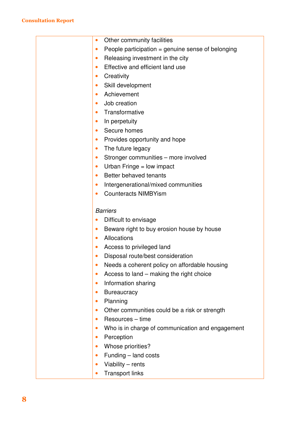| $\bullet$ | Other community facilities                        |
|-----------|---------------------------------------------------|
| $\bullet$ | People participation = genuine sense of belonging |
| $\bullet$ | Releasing investment in the city                  |
| $\bullet$ | Effective and efficient land use                  |
| $\bullet$ | Creativity                                        |
| $\bullet$ | Skill development                                 |
| $\bullet$ | Achievement                                       |
| $\bullet$ | Job creation                                      |
| $\bullet$ | Transformative                                    |
| $\bullet$ | In perpetuity                                     |
| $\bullet$ | Secure homes                                      |
| $\bullet$ | Provides opportunity and hope                     |
| $\bullet$ | The future legacy                                 |
| $\bullet$ | Stronger communities - more involved              |
| $\bullet$ | Urban Fringe $=$ low impact                       |
| $\bullet$ | Better behaved tenants                            |
| $\bullet$ | Intergenerational/mixed communities               |
|           | <b>Counteracts NIMBYism</b>                       |
|           |                                                   |
|           | <b>Barriers</b>                                   |
| $\bullet$ | Difficult to envisage                             |
| $\bullet$ | Beware right to buy erosion house by house        |
| $\bullet$ | Allocations                                       |
| $\bullet$ | Access to privileged land                         |
|           | Disposal route/best consideration                 |
| $\bullet$ | Needs a coherent policy on affordable housing     |
| $\bullet$ | Access to land – making the right choice          |
| $\bullet$ | Information sharing                               |
| $\bullet$ | <b>Bureaucracy</b>                                |
| $\bullet$ | Planning                                          |
| $\bullet$ | Other communities could be a risk or strength     |
| $\bullet$ | Resources - time                                  |
| $\bullet$ | Who is in charge of communication and engagement  |
| $\bullet$ | Perception                                        |
| $\bullet$ | Whose priorities?                                 |
| $\bullet$ | Funding - land costs                              |
| $\bullet$ | Viability - rents                                 |
| $\bullet$ | <b>Transport links</b>                            |
|           |                                                   |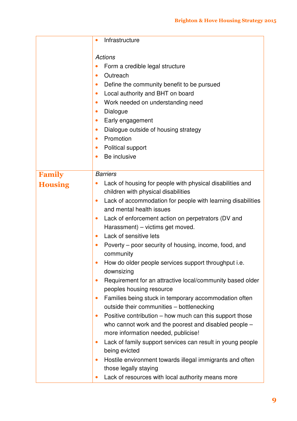|                | Infrastructure<br>$\bullet$                                                                                                                                                                                                                                       |
|----------------|-------------------------------------------------------------------------------------------------------------------------------------------------------------------------------------------------------------------------------------------------------------------|
|                | <b>Actions</b><br>Form a credible legal structure<br>Outreach<br>$\bullet$<br>Define the community benefit to be pursued<br>$\bullet$<br>Local authority and BHT on board<br>$\bullet$<br>Work needed on understanding need<br>$\bullet$<br>Dialogue<br>$\bullet$ |
|                | Early engagement<br>$\bullet$                                                                                                                                                                                                                                     |
|                | Dialogue outside of housing strategy<br>$\bullet$                                                                                                                                                                                                                 |
|                | Promotion<br>$\bullet$                                                                                                                                                                                                                                            |
|                | Political support<br>$\bullet$<br>Be inclusive<br>$\bullet$                                                                                                                                                                                                       |
|                |                                                                                                                                                                                                                                                                   |
| <b>Family</b>  | <b>Barriers</b>                                                                                                                                                                                                                                                   |
| <b>Housing</b> | Lack of housing for people with physical disabilities and                                                                                                                                                                                                         |
|                | children with physical disabilities                                                                                                                                                                                                                               |
|                | Lack of accommodation for people with learning disabilities<br>$\bullet$                                                                                                                                                                                          |
|                | and mental health issues                                                                                                                                                                                                                                          |
|                | Lack of enforcement action on perpetrators (DV and<br>$\bullet$                                                                                                                                                                                                   |
|                | Harassment) - victims get moved.                                                                                                                                                                                                                                  |
|                | Lack of sensitive lets<br>$\bullet$                                                                                                                                                                                                                               |
|                | Poverty – poor security of housing, income, food, and<br>$\bullet$<br>community                                                                                                                                                                                   |
|                | How do older people services support throughput <i>i.e.</i><br>downsizing                                                                                                                                                                                         |
|                | Requirement for an attractive local/community based older<br>$\bullet$<br>peoples housing resource                                                                                                                                                                |
|                | Families being stuck in temporary accommodation often<br>$\bullet$<br>outside their communities - bottlenecking                                                                                                                                                   |
|                | Positive contribution - how much can this support those<br>$\bullet$                                                                                                                                                                                              |
|                | who cannot work and the poorest and disabled people -                                                                                                                                                                                                             |
|                | more information needed, publicise!                                                                                                                                                                                                                               |
|                | Lack of family support services can result in young people<br>$\bullet$<br>being evicted                                                                                                                                                                          |
|                | Hostile environment towards illegal immigrants and often                                                                                                                                                                                                          |
|                | those legally staying                                                                                                                                                                                                                                             |
|                | Lack of resources with local authority means more                                                                                                                                                                                                                 |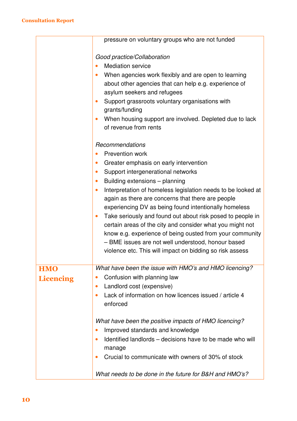|                  | pressure on voluntary groups who are not funded                                                                                  |
|------------------|----------------------------------------------------------------------------------------------------------------------------------|
|                  | Good practice/Collaboration                                                                                                      |
|                  | <b>Mediation service</b><br>$\bullet$                                                                                            |
|                  | When agencies work flexibly and are open to learning<br>$\bullet$                                                                |
|                  | about other agencies that can help e.g. experience of                                                                            |
|                  | asylum seekers and refugees                                                                                                      |
|                  | Support grassroots voluntary organisations with<br>$\bullet$                                                                     |
|                  | grants/funding                                                                                                                   |
|                  | When housing support are involved. Depleted due to lack                                                                          |
|                  | of revenue from rents                                                                                                            |
|                  | Recommendations                                                                                                                  |
|                  | <b>Prevention work</b><br>$\bullet$                                                                                              |
|                  | Greater emphasis on early intervention<br>$\bullet$                                                                              |
|                  | Support intergenerational networks<br>$\bullet$                                                                                  |
|                  | Building extensions - planning<br>$\bullet$                                                                                      |
|                  | Interpretation of homeless legislation needs to be looked at<br>$\bullet$                                                        |
|                  | again as there are concerns that there are people                                                                                |
|                  | experiencing DV as being found intentionally homeless<br>Take seriously and found out about risk posed to people in<br>$\bullet$ |
|                  | certain areas of the city and consider what you might not                                                                        |
|                  | know e.g. experience of being ousted from your community                                                                         |
|                  | - BME issues are not well understood, honour based                                                                               |
|                  | violence etc. This will impact on bidding so risk assess                                                                         |
|                  |                                                                                                                                  |
| <b>HMO</b>       | What have been the issue with HMO's and HMO licencing?                                                                           |
| <b>Licencing</b> | Confusion with planning law<br>$\bullet$                                                                                         |
|                  | Landlord cost (expensive)<br>$\bullet$                                                                                           |
|                  | Lack of information on how licences issued / article 4<br>$\bullet$                                                              |
|                  | enforced                                                                                                                         |
|                  | What have been the positive impacts of HMO licencing?                                                                            |
|                  | Improved standards and knowledge<br>$\bullet$                                                                                    |
|                  | Identified landlords – decisions have to be made who will<br>$\bullet$                                                           |
|                  | manage<br>Crucial to communicate with owners of 30% of stock<br>$\bullet$                                                        |
|                  | What needs to be done in the future for B&H and HMO's?                                                                           |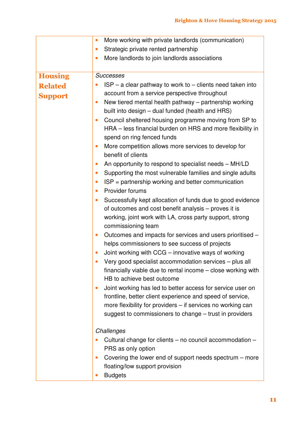|                | More working with private landlords (communication)<br>$\bullet$                        |
|----------------|-----------------------------------------------------------------------------------------|
|                | Strategic private rented partnership<br>$\bullet$                                       |
|                | More landlords to join landlords associations<br>$\bullet$                              |
|                |                                                                                         |
| <b>Housing</b> | <b>Successes</b>                                                                        |
| <b>Related</b> | $ISP - a$ clear pathway to work to $-$ clients need taken into                          |
| <b>Support</b> | account from a service perspective throughout                                           |
|                | New tiered mental health pathway - partnership working<br>$\bullet$                     |
|                | built into design - dual funded (health and HRS)                                        |
|                | Council sheltered housing programme moving from SP to<br>$\bullet$                      |
|                | HRA - less financial burden on HRS and more flexibility in                              |
|                | spend on ring fenced funds                                                              |
|                | More competition allows more services to develop for<br>$\bullet$<br>benefit of clients |
|                | An opportunity to respond to specialist needs - MH/LD<br>$\bullet$                      |
|                | Supporting the most vulnerable families and single adults<br>$\bullet$                  |
|                | $ISP =$ partnership working and better communication<br>$\bullet$                       |
|                | Provider forums<br>$\bullet$                                                            |
|                | Successfully kept allocation of funds due to good evidence<br>$\bullet$                 |
|                | of outcomes and cost benefit analysis - proves it is                                    |
|                | working, joint work with LA, cross party support, strong                                |
|                | commissioning team                                                                      |
|                | Outcomes and impacts for services and users prioritised -<br>$\bullet$                  |
|                | helps commissioners to see success of projects                                          |
|                | Joint working with CCG - innovative ways of working<br>$\bullet$                        |
|                | Very good specialist accommodation services - plus all                                  |
|                | financially viable due to rental income – close working with                            |
|                | HB to achieve best outcome                                                              |
|                | Joint working has led to better access for service user on<br>$\bullet$                 |
|                | frontline, better client experience and speed of service,                               |
|                | more flexibility for providers - if services no working can                             |
|                | suggest to commissioners to change - trust in providers                                 |
|                | Challenges                                                                              |
|                | Cultural change for clients – no council accommodation –                                |
|                | PRS as only option                                                                      |
|                | Covering the lower end of support needs spectrum - more<br>$\bullet$                    |
|                | floating/low support provision                                                          |
|                | <b>Budgets</b><br>$\bullet$                                                             |
|                |                                                                                         |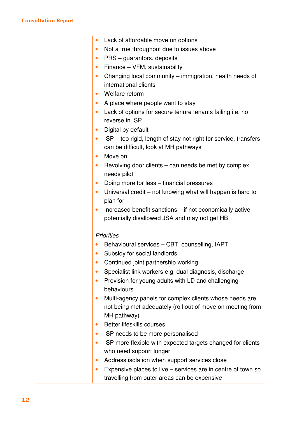| Lack of affordable move on options<br>$\bullet$                               |
|-------------------------------------------------------------------------------|
| Not a true throughput due to issues above<br>$\bullet$                        |
| PRS – guarantors, deposits<br>$\bullet$                                       |
| Finance - VFM, sustainability<br>$\bullet$                                    |
| Changing local community - immigration, health needs of<br>$\bullet$          |
| international clients                                                         |
| Welfare reform<br>$\bullet$                                                   |
| A place where people want to stay<br>$\bullet$                                |
| Lack of options for secure tenure tenants failing <i>i.e.</i> no<br>$\bullet$ |
| reverse in ISP                                                                |
| Digital by default<br>$\bullet$                                               |
| ISP – too rigid, length of stay not right for service, transfers<br>$\bullet$ |
| can be difficult, look at MH pathways                                         |
| Move on<br>$\bullet$                                                          |
| Revolving door clients – can needs be met by complex<br>$\bullet$             |
| needs pilot                                                                   |
| Doing more for less - financial pressures<br>$\bullet$                        |
| Universal credit – not knowing what will happen is hard to<br>$\bullet$       |
| plan for                                                                      |
| Increased benefit sanctions – if not economically active<br>$\bullet$         |
| potentially disallowed JSA and may not get HB                                 |
| <b>Priorities</b>                                                             |
|                                                                               |
| Behavioural services – CBT, counselling, IAPT                                 |
| Subsidy for social landlords                                                  |
| Continued joint partnership working                                           |
| Specialist link workers e.g. dual diagnosis, discharge                        |
| Provision for young adults with LD and challenging<br>$\bullet$               |
| behaviours                                                                    |
| Multi-agency panels for complex clients whose needs are<br>$\bullet$          |
| not being met adequately (roll out of move on meeting from                    |
| MH pathway)                                                                   |
| <b>Better lifeskills courses</b><br>$\bullet$                                 |
| ISP needs to be more personalised<br>$\bullet$                                |
| ISP more flexible with expected targets changed for clients<br>$\bullet$      |
| who need support longer                                                       |
| Address isolation when support services close<br>$\bullet$                    |
| Expensive places to live – services are in centre of town so<br>$\bullet$     |
| travelling from outer areas can be expensive                                  |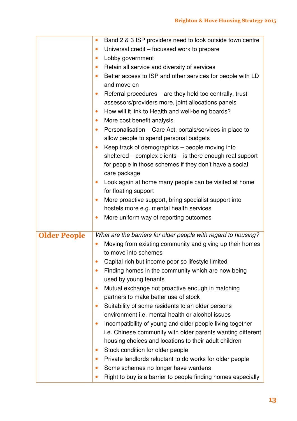|                     | Band 2 & 3 ISP providers need to look outside town centre<br>$\bullet$  |
|---------------------|-------------------------------------------------------------------------|
|                     | Universal credit – focussed work to prepare<br>$\bullet$                |
|                     | Lobby government<br>$\bullet$                                           |
|                     | Retain all service and diversity of services<br>$\bullet$               |
|                     | Better access to ISP and other services for people with LD<br>$\bullet$ |
|                     | and move on                                                             |
|                     | Referral procedures – are they held too centrally, trust<br>$\bullet$   |
|                     | assessors/providers more, joint allocations panels                      |
|                     | How will it link to Health and well-being boards?<br>$\bullet$          |
|                     | More cost benefit analysis<br>$\bullet$                                 |
|                     | Personalisation - Care Act, portals/services in place to<br>$\bullet$   |
|                     | allow people to spend personal budgets                                  |
|                     | Keep track of demographics - people moving into                         |
|                     | sheltered $-$ complex clients $-$ is there enough real support          |
|                     | for people in those schemes if they don't have a social                 |
|                     | care package                                                            |
|                     | Look again at home many people can be visited at home<br>$\bullet$      |
|                     | for floating support                                                    |
|                     | More proactive support, bring specialist support into<br>$\bullet$      |
|                     | hostels more e.g. mental health services                                |
|                     | More uniform way of reporting outcomes<br>$\bullet$                     |
|                     |                                                                         |
| <b>Older People</b> | What are the barriers for older people with regard to housing?          |
|                     | Moving from existing community and giving up their homes                |
|                     | to move into schemes                                                    |
|                     | Capital rich but income poor so lifestyle limited                       |
|                     | Finding homes in the community which are now being<br>$\bullet$         |
|                     | used by young tenants                                                   |
|                     | Mutual exchange not proactive enough in matching                        |
|                     | partners to make better use of stock                                    |
|                     | Suitability of some residents to an older persons<br>$\bullet$          |
|                     | environment <i>i.e.</i> mental health or alcohol issues                 |
|                     | Incompatibility of young and older people living together<br>$\bullet$  |
|                     | i.e. Chinese community with older parents wanting different             |
|                     | housing choices and locations to their adult children                   |
|                     | Stock condition for older people<br>$\bullet$                           |
|                     | Private landlords reluctant to do works for older people<br>$\bullet$   |
|                     | Some schemes no longer have wardens<br>$\bullet$                        |
|                     | Right to buy is a barrier to people finding homes especially            |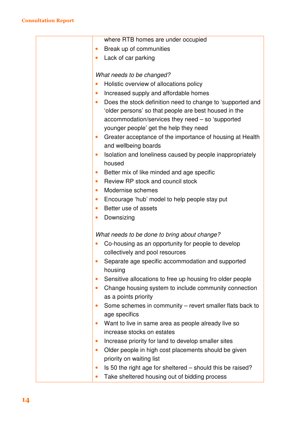| where RTB homes are under occupied<br>Break up of communities<br>Lack of car parking<br>$\bullet$<br>What needs to be changed?<br>Holistic overview of allocations policy<br>Increased supply and affordable homes<br>$\bullet$<br>Does the stock definition need to change to 'supported and<br>'older persons' so that people are best housed in the<br>accommodation/services they need - so 'supported<br>younger people' get the help they need<br>Greater acceptance of the importance of housing at Health<br>$\bullet$<br>and wellbeing boards |
|--------------------------------------------------------------------------------------------------------------------------------------------------------------------------------------------------------------------------------------------------------------------------------------------------------------------------------------------------------------------------------------------------------------------------------------------------------------------------------------------------------------------------------------------------------|
|                                                                                                                                                                                                                                                                                                                                                                                                                                                                                                                                                        |
|                                                                                                                                                                                                                                                                                                                                                                                                                                                                                                                                                        |
|                                                                                                                                                                                                                                                                                                                                                                                                                                                                                                                                                        |
|                                                                                                                                                                                                                                                                                                                                                                                                                                                                                                                                                        |
|                                                                                                                                                                                                                                                                                                                                                                                                                                                                                                                                                        |
|                                                                                                                                                                                                                                                                                                                                                                                                                                                                                                                                                        |
|                                                                                                                                                                                                                                                                                                                                                                                                                                                                                                                                                        |
|                                                                                                                                                                                                                                                                                                                                                                                                                                                                                                                                                        |
|                                                                                                                                                                                                                                                                                                                                                                                                                                                                                                                                                        |
|                                                                                                                                                                                                                                                                                                                                                                                                                                                                                                                                                        |
|                                                                                                                                                                                                                                                                                                                                                                                                                                                                                                                                                        |
|                                                                                                                                                                                                                                                                                                                                                                                                                                                                                                                                                        |
| Isolation and loneliness caused by people inappropriately<br>$\bullet$<br>housed                                                                                                                                                                                                                                                                                                                                                                                                                                                                       |
| Better mix of like minded and age specific<br>$\bullet$                                                                                                                                                                                                                                                                                                                                                                                                                                                                                                |
| Review RP stock and council stock<br>$\bullet$                                                                                                                                                                                                                                                                                                                                                                                                                                                                                                         |
| Modernise schemes<br>$\bullet$                                                                                                                                                                                                                                                                                                                                                                                                                                                                                                                         |
| Encourage 'hub' model to help people stay put<br>$\bullet$                                                                                                                                                                                                                                                                                                                                                                                                                                                                                             |
| Better use of assets<br>$\bullet$                                                                                                                                                                                                                                                                                                                                                                                                                                                                                                                      |
| Downsizing                                                                                                                                                                                                                                                                                                                                                                                                                                                                                                                                             |
| What needs to be done to bring about change?                                                                                                                                                                                                                                                                                                                                                                                                                                                                                                           |
| Co-housing as an opportunity for people to develop                                                                                                                                                                                                                                                                                                                                                                                                                                                                                                     |
| collectively and pool resources                                                                                                                                                                                                                                                                                                                                                                                                                                                                                                                        |
| Separate age specific accommodation and supported                                                                                                                                                                                                                                                                                                                                                                                                                                                                                                      |
| housing                                                                                                                                                                                                                                                                                                                                                                                                                                                                                                                                                |
| Sensitive allocations to free up housing fro older people<br>$\bullet$                                                                                                                                                                                                                                                                                                                                                                                                                                                                                 |
| Change housing system to include community connection<br>$\bullet$                                                                                                                                                                                                                                                                                                                                                                                                                                                                                     |
| as a points priority                                                                                                                                                                                                                                                                                                                                                                                                                                                                                                                                   |
| Some schemes in community - revert smaller flats back to<br>$\bullet$                                                                                                                                                                                                                                                                                                                                                                                                                                                                                  |
| age specifics                                                                                                                                                                                                                                                                                                                                                                                                                                                                                                                                          |
| Want to live in same area as people already live so<br>$\bullet$                                                                                                                                                                                                                                                                                                                                                                                                                                                                                       |
| increase stocks on estates                                                                                                                                                                                                                                                                                                                                                                                                                                                                                                                             |
| Increase priority for land to develop smaller sites<br>$\bullet$                                                                                                                                                                                                                                                                                                                                                                                                                                                                                       |
| Older people in high cost placements should be given<br>$\bullet$                                                                                                                                                                                                                                                                                                                                                                                                                                                                                      |
| priority on waiting list                                                                                                                                                                                                                                                                                                                                                                                                                                                                                                                               |
| Is 50 the right age for sheltered – should this be raised?<br>$\bullet$                                                                                                                                                                                                                                                                                                                                                                                                                                                                                |
| Take sheltered housing out of bidding process<br>$\bullet$                                                                                                                                                                                                                                                                                                                                                                                                                                                                                             |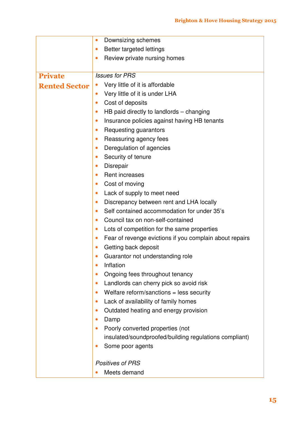|                      | Downsizing schemes<br>$\bullet$                                      |
|----------------------|----------------------------------------------------------------------|
|                      | Better targeted lettings<br>$\bullet$                                |
|                      | Review private nursing homes<br>$\bullet$                            |
|                      |                                                                      |
| <b>Private</b>       | <b>Issues for PRS</b>                                                |
| <b>Rented Sector</b> | Very little of it is affordable                                      |
|                      | Very little of it is under LHA<br>$\bullet$                          |
|                      | Cost of deposits<br>$\bullet$                                        |
|                      | HB paid directly to landlords - changing<br>$\bullet$                |
|                      | Insurance policies against having HB tenants<br>$\bullet$            |
|                      | Requesting guarantors<br>$\bullet$                                   |
|                      | Reassuring agency fees<br>$\bullet$                                  |
|                      | Deregulation of agencies<br>$\bullet$                                |
|                      | Security of tenure<br>$\bullet$                                      |
|                      | <b>Disrepair</b><br>$\bullet$                                        |
|                      | Rent increases<br>$\bullet$                                          |
|                      | Cost of moving<br>$\bullet$                                          |
|                      | Lack of supply to meet need<br>$\bullet$                             |
|                      | Discrepancy between rent and LHA locally<br>$\bullet$                |
|                      | Self contained accommodation for under 35's<br>$\bullet$             |
|                      | Council tax on non-self-contained<br>$\bullet$                       |
|                      | Lots of competition for the same properties<br>$\bullet$             |
|                      | Fear of revenge evictions if you complain about repairs<br>$\bullet$ |
|                      | Getting back deposit<br>$\bullet$                                    |
|                      | Guarantor not understanding role                                     |
|                      | Inflation<br>$\bullet$                                               |
|                      | Ongoing fees throughout tenancy<br>$\bullet$                         |
|                      | Landlords can cherry pick so avoid risk<br>$\bullet$                 |
|                      | Welfare reform/sanctions = less security<br>$\bullet$                |
|                      | Lack of availability of family homes<br>$\bullet$                    |
|                      | Outdated heating and energy provision<br>$\bullet$                   |
|                      | Damp<br>$\bullet$                                                    |
|                      | Poorly converted properties (not<br>$\bullet$                        |
|                      | insulated/soundproofed/building regulations compliant)               |
|                      | Some poor agents                                                     |
|                      | <b>Positives of PRS</b>                                              |
|                      | Meets demand                                                         |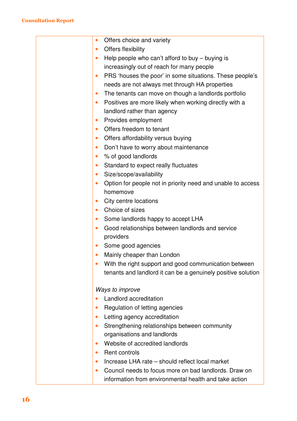| Offers choice and variety                                    |
|--------------------------------------------------------------|
| Offers flexibility                                           |
| Help people who can't afford to buy $-$ buying is            |
| increasingly out of reach for many people                    |
| PRS 'houses the poor' in some situations. These people's     |
| needs are not always met through HA properties               |
| The tenants can move on though a landlords portfolio         |
| Positives are more likely when working directly with a       |
| landlord rather than agency                                  |
| Provides employment<br>$\bullet$                             |
| Offers freedom to tenant<br>$\bullet$                        |
| Offers affordability versus buying<br>٠                      |
| Don't have to worry about maintenance<br>$\bullet$           |
| % of good landlords                                          |
| Standard to expect really fluctuates                         |
| Size/scope/availability                                      |
| Option for people not in priority need and unable to access  |
| homemove                                                     |
| City centre locations                                        |
| Choice of sizes                                              |
| Some landlords happy to accept LHA<br>$\bullet$              |
| Good relationships between landlords and service             |
| providers                                                    |
| Some good agencies                                           |
| Mainly cheaper than London<br>$\bullet$                      |
| With the right support and good communication between        |
| tenants and landlord it can be a genuinely positive solution |
|                                                              |
| Ways to improve                                              |
| Landlord accreditation                                       |
| Regulation of letting agencies                               |
| Letting agency accreditation<br>$\bullet$                    |
| Strengthening relationships between community                |
| organisations and landlords                                  |
| Website of accredited landlords<br>$\bullet$                 |
| Rent controls<br>$\bullet$                                   |
| Increase LHA rate - should reflect local market<br>٠         |
| Council needs to focus more on bad landlords. Draw on<br>٠   |
| information from environmental health and take action        |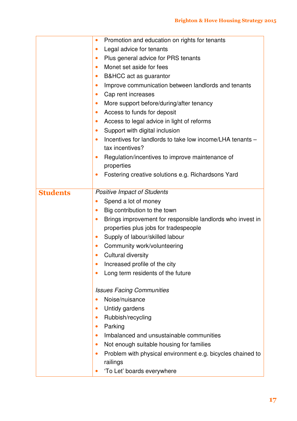|                 | Promotion and education on rights for tenants<br>$\bullet$              |
|-----------------|-------------------------------------------------------------------------|
|                 | Legal advice for tenants<br>$\bullet$                                   |
|                 | Plus general advice for PRS tenants<br>$\bullet$                        |
|                 | Monet set aside for fees<br>$\bullet$                                   |
|                 | B&HCC act as guarantor<br>$\bullet$                                     |
|                 | Improve communication between landlords and tenants<br>$\bullet$        |
|                 | Cap rent increases<br>$\bullet$                                         |
|                 | More support before/during/after tenancy<br>$\bullet$                   |
|                 | Access to funds for deposit<br>$\bullet$                                |
|                 | Access to legal advice in light of reforms<br>$\bullet$                 |
|                 | Support with digital inclusion<br>$\bullet$                             |
|                 | Incentives for landlords to take low income/LHA tenants -<br>$\bullet$  |
|                 | tax incentives?                                                         |
|                 | Regulation/incentives to improve maintenance of<br>$\bullet$            |
|                 | properties                                                              |
|                 | Fostering creative solutions e.g. Richardsons Yard<br>$\bullet$         |
|                 |                                                                         |
| <b>Students</b> | <b>Positive Impact of Students</b>                                      |
|                 | Spend a lot of money                                                    |
|                 | Big contribution to the town<br>$\bullet$                               |
|                 | Brings improvement for responsible landlords who invest in<br>$\bullet$ |
|                 | properties plus jobs for tradespeople                                   |
|                 | Supply of labour/skilled labour<br>$\bullet$                            |
|                 | Community work/volunteering                                             |
|                 | <b>Cultural diversity</b>                                               |
|                 | Increased profile of the city                                           |
|                 | Long term residents of the future                                       |
|                 | <b>Issues Facing Communities</b>                                        |
|                 | Noise/nuisance                                                          |
|                 | Untidy gardens                                                          |
|                 | Rubbish/recycling                                                       |
|                 | Parking<br>$\bullet$                                                    |
|                 | Imbalanced and unsustainable communities                                |
|                 | Not enough suitable housing for families<br>$\bullet$                   |
|                 | Problem with physical environment e.g. bicycles chained to              |
|                 | railings                                                                |
|                 | 'To Let' boards everywhere                                              |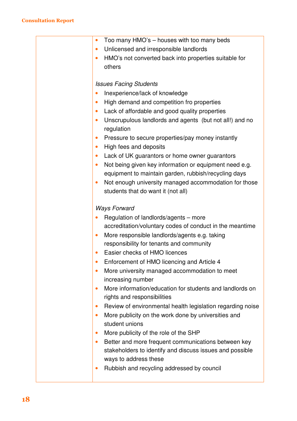| Too many HMO's – houses with too many beds<br>$\bullet$               |
|-----------------------------------------------------------------------|
| Unlicensed and irresponsible landlords                                |
| HMO's not converted back into properties suitable for<br>$\bullet$    |
| others                                                                |
|                                                                       |
| <b>Issues Facing Students</b>                                         |
| Inexperience/lack of knowledge                                        |
| High demand and competition fro properties                            |
| Lack of affordable and good quality properties                        |
| Unscrupulous landlords and agents (but not all!) and no<br>$\bullet$  |
| regulation                                                            |
| Pressure to secure properties/pay money instantly<br>$\bullet$        |
| High fees and deposits<br>$\bullet$                                   |
| Lack of UK guarantors or home owner guarantors<br>$\bullet$           |
| Not being given key information or equipment need e.g.<br>$\bullet$   |
| equipment to maintain garden, rubbish/recycling days                  |
| Not enough university managed accommodation for those<br>$\bullet$    |
| students that do want it (not all)                                    |
|                                                                       |
| <b>Ways Forward</b>                                                   |
| Regulation of landlords/agents - more                                 |
| accreditation/voluntary codes of conduct in the meantime              |
| More responsible landlords/agents e.g. taking                         |
| responsibility for tenants and community                              |
| Easier checks of HMO licences                                         |
| Enforcement of HMO licencing and Article 4                            |
| More university managed accommodation to meet                         |
| increasing number                                                     |
| More information/education for students and landlords on<br>$\bullet$ |
| rights and responsibilities                                           |
| Review of environmental health legislation regarding noise            |
| More publicity on the work done by universities and<br>$\bullet$      |
| student unions                                                        |
| More publicity of the role of the SHP<br>$\bullet$                    |
| Better and more frequent communications between key<br>٠              |
| stakeholders to identify and discuss issues and possible              |
| ways to address these                                                 |
| Rubbish and recycling addressed by council<br>$\bullet$               |
|                                                                       |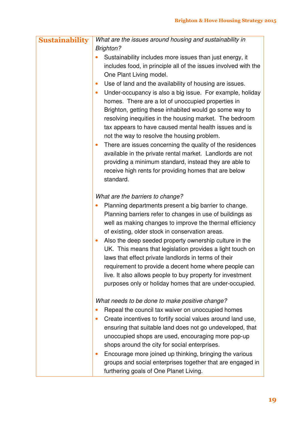| <b>Sustainability</b> | What are the issues around housing and sustainability in               |
|-----------------------|------------------------------------------------------------------------|
|                       | <b>Brighton?</b>                                                       |
|                       | Sustainability includes more issues than just energy, it               |
|                       | includes food, in principle all of the issues involved with the        |
|                       | One Plant Living model.                                                |
|                       | Use of land and the availability of housing are issues.<br>$\bullet$   |
|                       | Under-occupancy is also a big issue. For example, holiday<br>$\bullet$ |
|                       | homes. There are a lot of unoccupied properties in                     |
|                       | Brighton, getting these inhabited would go some way to                 |
|                       | resolving inequities in the housing market. The bedroom                |
|                       | tax appears to have caused mental health issues and is                 |
|                       | not the way to resolve the housing problem.                            |
|                       | There are issues concerning the quality of the residences<br>٠         |
|                       | available in the private rental market. Landlords are not              |
|                       | providing a minimum standard, instead they are able to                 |
|                       | receive high rents for providing homes that are below                  |
|                       | standard.                                                              |
|                       | What are the barriers to change?                                       |
|                       | Planning departments present a big barrier to change.                  |
|                       | Planning barriers refer to changes in use of buildings as              |
|                       | well as making changes to improve the thermal efficiency               |
|                       | of existing, older stock in conservation areas.                        |
|                       | Also the deep seeded property ownership culture in the<br>$\bullet$    |
|                       | UK. This means that legislation provides a light touch on              |
|                       | laws that effect private landlords in terms of their                   |
|                       | requirement to provide a decent home where people can                  |
|                       | live. It also allows people to buy property for investment             |
|                       | purposes only or holiday homes that are under-occupied.                |
|                       | What needs to be done to make positive change?                         |
|                       | Repeal the council tax waiver on unoccupied homes                      |
|                       | Create incentives to fortify social values around land use,            |
|                       | ensuring that suitable land does not go undeveloped, that              |
|                       | unoccupied shops are used, encouraging more pop-up                     |
|                       | shops around the city for social enterprises.                          |
|                       | Encourage more joined up thinking, bringing the various                |
|                       | groups and social enterprises together that are engaged in             |
|                       | furthering goals of One Planet Living.                                 |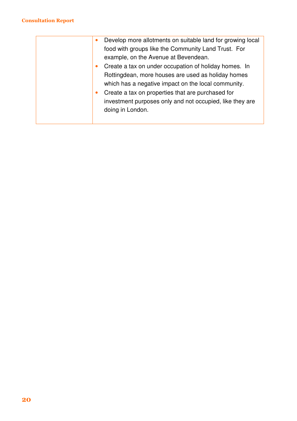#### Consultation Report

|  |           | Develop more allotments on suitable land for growing local |
|--|-----------|------------------------------------------------------------|
|  |           | food with groups like the Community Land Trust. For        |
|  |           | example, on the Avenue at Bevendean.                       |
|  | $\bullet$ | Create a tax on under occupation of holiday homes. In      |
|  |           | Rottingdean, more houses are used as holiday homes         |
|  |           | which has a negative impact on the local community.        |
|  | $\bullet$ | Create a tax on properties that are purchased for          |
|  |           | investment purposes only and not occupied, like they are   |
|  |           | doing in London.                                           |
|  |           |                                                            |
|  |           |                                                            |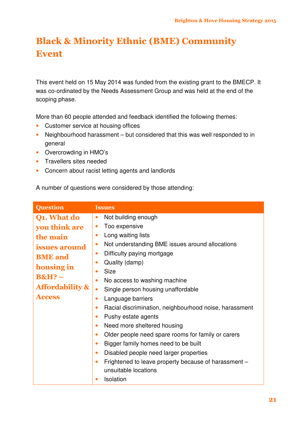## Black & Minority Ethnic (BME) Community Event

This event held on 15 May 2014 was funded from the existing grant to the BMECP. It was co-ordinated by the Needs Assessment Group and was held at the end of the scoping phase.

More than 60 people attended and feedback identified the following themes:

- Customer service at housing offices
- Neighbourhood harassment but considered that this was well responded to in general
- Overcrowding in HMO's
- Travellers sites needed
- Concern about racist letting agents and landlords

A number of questions were considered by those attending:

| <b>Question</b>            | <b>Issues</b>                                                       |
|----------------------------|---------------------------------------------------------------------|
| Q1. What do                | Not building enough<br>$\bullet$                                    |
| you think are              | Too expensive<br>$\bullet$                                          |
| the main                   | Long waiting lists<br>$\bullet$                                     |
| <i>issues around</i>       | Not understanding BME issues around allocations<br>$\bullet$        |
| <b>BME</b> and             | Difficulty paying mortgage<br>$\bullet$                             |
| housing in                 | Quality (damp)<br>$\bullet$                                         |
| $B\&H?$ –                  | <b>Size</b><br>$\bullet$                                            |
| <b>Affordability &amp;</b> | No access to washing machine<br>$\bullet$                           |
|                            | Single person housing unaffordable<br>$\bullet$                     |
| <b>Access</b>              | Language barriers<br>$\bullet$                                      |
|                            | Racial discrimination, neighbourhood noise, harassment<br>$\bullet$ |
|                            | Pushy estate agents<br>$\bullet$                                    |
|                            | Need more sheltered housing<br>$\bullet$                            |
|                            | Older people need spare rooms for family or carers<br>$\bullet$     |
|                            | Bigger family homes need to be built<br>$\bullet$                   |
|                            | Disabled people need larger properties<br>$\bullet$                 |
|                            | Frightened to leave property because of harassment -<br>$\bullet$   |
|                            | unsuitable locations                                                |
|                            | Isolation<br>$\bullet$                                              |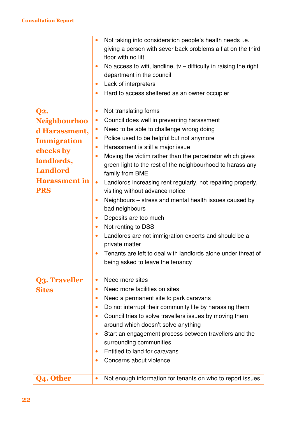|                      | Not taking into consideration people's health needs i.e.                         |
|----------------------|----------------------------------------------------------------------------------|
|                      | giving a person with sever back problems a flat on the third                     |
|                      | floor with no lift                                                               |
|                      | No access to wifi, landline, tv $-$ difficulty in raising the right<br>$\bullet$ |
|                      | department in the council                                                        |
|                      | Lack of interpreters<br>$\bullet$                                                |
|                      | Hard to access sheltered as an owner occupier<br>$\bullet$                       |
|                      |                                                                                  |
| <b>Q2.</b>           | Not translating forms<br>$\bullet$                                               |
| <b>Neighbourhoo</b>  | Council does well in preventing harassment<br>$\bullet$                          |
| d Harassment,        | Need to be able to challenge wrong doing<br>$\bullet$                            |
| <b>Immigration</b>   | Police used to be helpful but not anymore<br>$\bullet$                           |
|                      | Harassment is still a major issue<br>$\bullet$                                   |
| checks by            | Moving the victim rather than the perpetrator which gives<br>$\bullet$           |
| landlords,           | green light to the rest of the neighbourhood to harass any                       |
| <b>Landlord</b>      | family from BME                                                                  |
| <b>Harassment</b> in | $\bullet$<br>Landlords increasing rent regularly, not repairing properly,        |
| <b>PRS</b>           | visiting without advance notice                                                  |
|                      | Neighbours - stress and mental health issues caused by<br>$\bullet$              |
|                      | bad neighbours                                                                   |
|                      | Deposits are too much<br>$\bullet$                                               |
|                      | Not renting to DSS<br>$\bullet$                                                  |
|                      | Landlords are not immigration experts and should be a<br>$\bullet$               |
|                      | private matter                                                                   |
|                      | Tenants are left to deal with landlords alone under threat of                    |
|                      | being asked to leave the tenancy                                                 |
|                      |                                                                                  |
| <b>Q3. Traveller</b> | Need more sites<br>$\bullet$                                                     |
| <b>Sites</b>         | Need more facilities on sites<br>$\bullet$                                       |
|                      | Need a permanent site to park caravans<br>$\bullet$                              |
|                      | Do not interrupt their community life by harassing them<br>$\bullet$             |
|                      | Council tries to solve travellers issues by moving them<br>$\bullet$             |
|                      | around which doesn't solve anything                                              |
|                      | Start an engagement process between travellers and the<br>$\bullet$              |
|                      | surrounding communities                                                          |
|                      | Entitled to land for caravans<br>$\bullet$                                       |
|                      | Concerns about violence<br>$\bullet$                                             |
|                      |                                                                                  |
| Q4. Other            | Not enough information for tenants on who to report issues<br>$\bullet$          |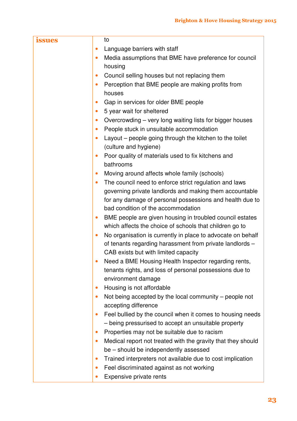| <b>issues</b> | to                                                                                                                  |
|---------------|---------------------------------------------------------------------------------------------------------------------|
|               | Language barriers with staff<br>$\bullet$                                                                           |
|               | Media assumptions that BME have preference for council<br>$\bullet$                                                 |
|               | housing                                                                                                             |
|               | Council selling houses but not replacing them<br>$\bullet$                                                          |
|               | Perception that BME people are making profits from<br>$\bullet$                                                     |
|               | houses                                                                                                              |
|               | Gap in services for older BME people<br>$\bullet$                                                                   |
|               | 5 year wait for sheltered<br>$\bullet$                                                                              |
|               | Overcrowding - very long waiting lists for bigger houses<br>$\bullet$                                               |
|               | People stuck in unsuitable accommodation<br>$\bullet$                                                               |
|               | Layout – people going through the kitchen to the toilet<br>$\bullet$                                                |
|               | (culture and hygiene)                                                                                               |
|               | Poor quality of materials used to fix kitchens and<br>$\bullet$                                                     |
|               | bathrooms                                                                                                           |
|               | Moving around affects whole family (schools)<br>$\bullet$                                                           |
|               | The council need to enforce strict regulation and laws<br>$\bullet$                                                 |
|               | governing private landlords and making them accountable<br>for any damage of personal possessions and health due to |
|               | bad condition of the accommodation                                                                                  |
|               | BME people are given housing in troubled council estates<br>$\bullet$                                               |
|               | which affects the choice of schools that children go to                                                             |
|               | No organisation is currently in place to advocate on behalf<br>$\bullet$                                            |
|               | of tenants regarding harassment from private landlords -                                                            |
|               | CAB exists but with limited capacity                                                                                |
|               | Need a BME Housing Health Inspector regarding rents,                                                                |
|               | tenants rights, and loss of personal possessions due to                                                             |
|               | environment damage                                                                                                  |
|               | Housing is not affordable<br>$\bullet$                                                                              |
|               | Not being accepted by the local community $-$ people not<br>$\bullet$                                               |
|               | accepting difference                                                                                                |
|               | Feel bullied by the council when it comes to housing needs<br>$\bullet$                                             |
|               | - being pressurised to accept an unsuitable property                                                                |
|               | Properties may not be suitable due to racism<br>$\bullet$                                                           |
|               | Medical report not treated with the gravity that they should<br>$\bullet$                                           |
|               | be – should be independently assessed                                                                               |
|               | Trained interpreters not available due to cost implication<br>$\bullet$                                             |
|               | Feel discriminated against as not working<br>$\bullet$                                                              |
|               | Expensive private rents<br>$\bullet$                                                                                |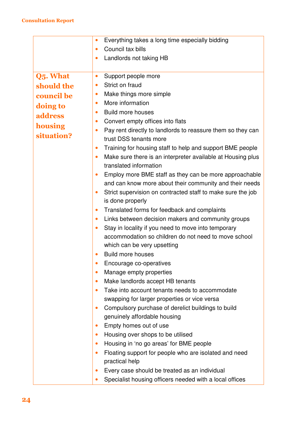|            | Everything takes a long time especially bidding                                                    |
|------------|----------------------------------------------------------------------------------------------------|
|            | Council tax bills                                                                                  |
|            | Landlords not taking HB                                                                            |
|            |                                                                                                    |
| Q5. What   | Support people more                                                                                |
| should the | Strict on fraud                                                                                    |
| council be | Make things more simple                                                                            |
| doing to   | More information                                                                                   |
| address    | <b>Build more houses</b>                                                                           |
| housing    | Convert empty offices into flats<br>$\bullet$                                                      |
| situation? | Pay rent directly to landlords to reassure them so they can<br>$\bullet$<br>trust DSS tenants more |
|            | Training for housing staff to help and support BME people                                          |
|            | Make sure there is an interpreter available at Housing plus                                        |
|            | translated information                                                                             |
|            | Employ more BME staff as they can be more approachable                                             |
|            | and can know more about their community and their needs                                            |
|            | Strict supervision on contracted staff to make sure the job<br>$\bullet$                           |
|            | is done properly                                                                                   |
|            | Translated forms for feedback and complaints<br>$\bullet$                                          |
|            | Links between decision makers and community groups<br>$\bullet$                                    |
|            | Stay in locality if you need to move into temporary<br>٠                                           |
|            | accommodation so children do not need to move school                                               |
|            | which can be very upsetting                                                                        |
|            | <b>Build more houses</b>                                                                           |
|            | Encourage co-operatives                                                                            |
|            | Manage empty properties                                                                            |
|            | Make landlords accept HB tenants                                                                   |
|            | Take into account tenants needs to accommodate                                                     |
|            | swapping for larger properties or vice versa                                                       |
|            | Compulsory purchase of derelict buildings to build<br>$\bullet$                                    |
|            | genuinely affordable housing                                                                       |
|            | Empty homes out of use<br>$\bullet$                                                                |
|            | Housing over shops to be utilised<br>$\bullet$                                                     |
|            | Housing in 'no go areas' for BME people                                                            |
|            | Floating support for people who are isolated and need<br>$\bullet$<br>practical help               |
|            | Every case should be treated as an individual                                                      |
|            | Specialist housing officers needed with a local offices                                            |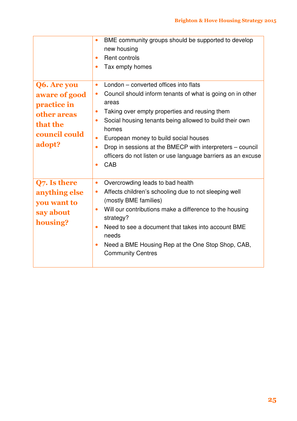|                                                                                                   | BME community groups should be supported to develop<br>$\bullet$<br>new housing<br>Rent controls<br>$\bullet$<br>Tax empty homes<br>$\bullet$                                                                                                                                                                                                                                                                                                                                                             |
|---------------------------------------------------------------------------------------------------|-----------------------------------------------------------------------------------------------------------------------------------------------------------------------------------------------------------------------------------------------------------------------------------------------------------------------------------------------------------------------------------------------------------------------------------------------------------------------------------------------------------|
| Q6. Are you<br>aware of good<br>practice in<br>other areas<br>that the<br>council could<br>adopt? | London – converted offices into flats<br>$\bullet$<br>Council should inform tenants of what is going on in other<br>$\bullet$<br>areas<br>Taking over empty properties and reusing them<br>$\bullet$<br>Social housing tenants being allowed to build their own<br>$\bullet$<br>homes<br>European money to build social houses<br>$\bullet$<br>Drop in sessions at the BMECP with interpreters – council<br>$\bullet$<br>officers do not listen or use language barriers as an excuse<br>CAB<br>$\bullet$ |
| Q7. Is there<br>anything else<br>you want to<br>say about<br>housing?                             | Overcrowding leads to bad health<br>$\bullet$<br>Affects children's schooling due to not sleeping well<br>$\bullet$<br>(mostly BME families)<br>Will our contributions make a difference to the housing<br>$\bullet$<br>strategy?<br>Need to see a document that takes into account BME<br>$\bullet$<br>needs<br>Need a BME Housing Rep at the One Stop Shop, CAB,<br>$\bullet$<br><b>Community Centres</b>                                                                                               |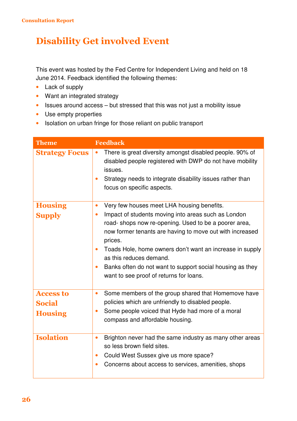#### Disability Get involved Event

This event was hosted by the Fed Centre for Independent Living and held on 18 June 2014. Feedback identified the following themes:

- Lack of supply
- Want an integrated strategy
- Issues around access but stressed that this was not just a mobility issue
- Use empty properties
- Isolation on urban fringe for those reliant on public transport

| <b>Theme</b>                                        | <b>Feedback</b>                                                                                                                                                                                                                                                                                                                                                                                                                                                                     |
|-----------------------------------------------------|-------------------------------------------------------------------------------------------------------------------------------------------------------------------------------------------------------------------------------------------------------------------------------------------------------------------------------------------------------------------------------------------------------------------------------------------------------------------------------------|
| <b>Strategy Focus</b>                               | There is great diversity amongst disabled people. 90% of<br>$\bullet$<br>disabled people registered with DWP do not have mobility<br>issues.<br>Strategy needs to integrate disability issues rather than<br>$\bullet$<br>focus on specific aspects.                                                                                                                                                                                                                                |
| <b>Housing</b><br><b>Supply</b>                     | Very few houses meet LHA housing benefits.<br>$\bullet$<br>Impact of students moving into areas such as London<br>$\bullet$<br>road-shops now re-opening. Used to be a poorer area,<br>now former tenants are having to move out with increased<br>prices.<br>Toads Hole, home owners don't want an increase in supply<br>$\bullet$<br>as this reduces demand.<br>Banks often do not want to support social housing as they<br>$\bullet$<br>want to see proof of returns for loans. |
| <b>Access to</b><br><b>Social</b><br><b>Housing</b> | Some members of the group shared that Homemove have<br>$\bullet$<br>policies which are unfriendly to disabled people.<br>Some people voiced that Hyde had more of a moral<br>$\bullet$<br>compass and affordable housing.                                                                                                                                                                                                                                                           |
| <b>Isolation</b>                                    | Brighton never had the same industry as many other areas<br>$\bullet$<br>so less brown field sites.<br>Could West Sussex give us more space?<br>$\bullet$<br>Concerns about access to services, amenities, shops<br>$\bullet$                                                                                                                                                                                                                                                       |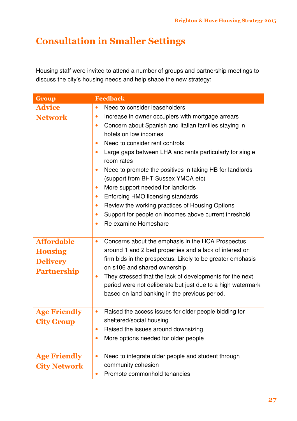### Consultation in Smaller Settings

Housing staff were invited to attend a number of groups and partnership meetings to discuss the city's housing needs and help shape the new strategy:

| <b>Group</b>                                                                 | <b>Feedback</b>                                                                                                                                                                                                                                                                                                                                                                                                                                                                                                                                                                                                                                                                                                                                 |
|------------------------------------------------------------------------------|-------------------------------------------------------------------------------------------------------------------------------------------------------------------------------------------------------------------------------------------------------------------------------------------------------------------------------------------------------------------------------------------------------------------------------------------------------------------------------------------------------------------------------------------------------------------------------------------------------------------------------------------------------------------------------------------------------------------------------------------------|
| <b>Advice</b><br><b>Network</b>                                              | Need to consider leaseholders<br>$\bullet$<br>Increase in owner occupiers with mortgage arrears<br>$\bullet$<br>Concern about Spanish and Italian families staying in<br>$\bullet$<br>hotels on low incomes<br>Need to consider rent controls<br>$\bullet$<br>Large gaps between LHA and rents particularly for single<br>$\bullet$<br>room rates<br>Need to promote the positives in taking HB for landlords<br>$\bullet$<br>(support from BHT Sussex YMCA etc)<br>More support needed for landlords<br>$\bullet$<br>Enforcing HMO licensing standards<br>$\bullet$<br>Review the working practices of Housing Options<br>$\bullet$<br>Support for people on incomes above current threshold<br>$\bullet$<br>Re examine Homeshare<br>$\bullet$ |
| <b>Affordable</b><br><b>Housing</b><br><b>Delivery</b><br><b>Partnership</b> | Concerns about the emphasis in the HCA Prospectus<br>$\bullet$<br>around 1 and 2 bed properties and a lack of interest on<br>firm bids in the prospectus. Likely to be greater emphasis<br>on s106 and shared ownership.<br>They stressed that the lack of developments for the next<br>$\bullet$<br>period were not deliberate but just due to a high watermark<br>based on land banking in the previous period.                                                                                                                                                                                                                                                                                                                               |
| <b>Age Friendly</b><br><b>City Group</b>                                     | Raised the access issues for older people bidding for<br>$\bullet$<br>sheltered/social housing<br>Raised the issues around downsizing<br>$\bullet$<br>More options needed for older people<br>$\bullet$                                                                                                                                                                                                                                                                                                                                                                                                                                                                                                                                         |
| <b>Age Friendly</b><br><b>City Network</b>                                   | Need to integrate older people and student through<br>$\bullet$<br>community cohesion<br>Promote commonhold tenancies<br>$\bullet$                                                                                                                                                                                                                                                                                                                                                                                                                                                                                                                                                                                                              |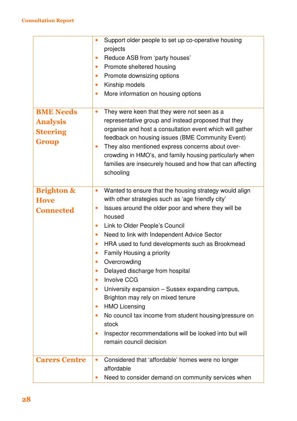|                                                                 | Support older people to set up co-operative housing<br>$\bullet$<br>projects<br>Reduce ASB from 'party houses'<br>$\bullet$<br>Promote sheltered housing<br>$\bullet$                                                                                                                                                                                                                                                                 |
|-----------------------------------------------------------------|---------------------------------------------------------------------------------------------------------------------------------------------------------------------------------------------------------------------------------------------------------------------------------------------------------------------------------------------------------------------------------------------------------------------------------------|
|                                                                 | Promote downsizing options<br>$\bullet$                                                                                                                                                                                                                                                                                                                                                                                               |
|                                                                 | Kinship models<br>$\bullet$                                                                                                                                                                                                                                                                                                                                                                                                           |
|                                                                 | More information on housing options<br>$\bullet$                                                                                                                                                                                                                                                                                                                                                                                      |
| <b>BME Needs</b><br><b>Analysis</b><br><b>Steering</b><br>Group | They were keen that they were not seen as a<br>$\bullet$<br>representative group and instead proposed that they<br>organise and host a consultation event which will gather<br>feedback on housing issues (BME Community Event)<br>They also mentioned express concerns about over-<br>$\bullet$<br>crowding in HMO's, and family housing particularly when<br>families are insecurely housed and how that can affecting<br>schooling |
| <b>Brighton &amp;</b>                                           | Wanted to ensure that the housing strategy would align<br>$\bullet$                                                                                                                                                                                                                                                                                                                                                                   |
| <b>Hove</b>                                                     | with other strategies such as 'age friendly city'                                                                                                                                                                                                                                                                                                                                                                                     |
| <b>Connected</b>                                                | Issues around the older poor and where they will be<br>$\bullet$                                                                                                                                                                                                                                                                                                                                                                      |
|                                                                 | housed                                                                                                                                                                                                                                                                                                                                                                                                                                |
|                                                                 | Link to Older People's Council<br>$\bullet$                                                                                                                                                                                                                                                                                                                                                                                           |
|                                                                 | Need to link with Independent Advice Sector<br>$\bullet$                                                                                                                                                                                                                                                                                                                                                                              |
|                                                                 | HRA used to fund developments such as Brookmead<br>$\bullet$                                                                                                                                                                                                                                                                                                                                                                          |
|                                                                 | Family Housing a priority<br>$\bullet$                                                                                                                                                                                                                                                                                                                                                                                                |
|                                                                 | Overcrowding<br>$\bullet$                                                                                                                                                                                                                                                                                                                                                                                                             |
|                                                                 | Delayed discharge from hospital<br>$\bullet$                                                                                                                                                                                                                                                                                                                                                                                          |
|                                                                 | <b>Involve CCG</b><br>$\bullet$                                                                                                                                                                                                                                                                                                                                                                                                       |
|                                                                 | University expansion – Sussex expanding campus,<br>$\bullet$<br>Brighton may rely on mixed tenure                                                                                                                                                                                                                                                                                                                                     |
|                                                                 | <b>HMO Licensing</b><br>$\bullet$                                                                                                                                                                                                                                                                                                                                                                                                     |
|                                                                 | No council tax income from student housing/pressure on<br>$\bullet$                                                                                                                                                                                                                                                                                                                                                                   |
|                                                                 | stock                                                                                                                                                                                                                                                                                                                                                                                                                                 |
|                                                                 | Inspector recommendations will be looked into but will<br>$\bullet$<br>remain council decision                                                                                                                                                                                                                                                                                                                                        |
| <b>Carers Centre</b>                                            | Considered that 'affordable' homes were no longer<br>$\bullet$                                                                                                                                                                                                                                                                                                                                                                        |
|                                                                 | affordable<br>Need to consider demand on community services when<br>$\bullet$                                                                                                                                                                                                                                                                                                                                                         |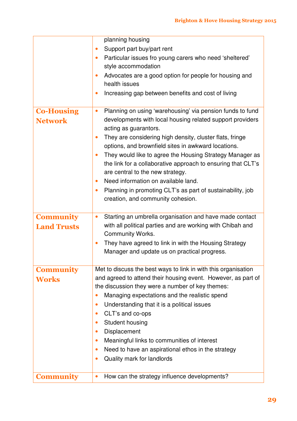|                    | planning housing                                                        |
|--------------------|-------------------------------------------------------------------------|
|                    | Support part buy/part rent<br>$\bullet$                                 |
|                    | Particular issues fro young carers who need 'sheltered'<br>$\bullet$    |
|                    | style accommodation                                                     |
|                    | Advocates are a good option for people for housing and<br>$\bullet$     |
|                    | health issues                                                           |
|                    | Increasing gap between benefits and cost of living<br>$\bullet$         |
| <b>Co-Housing</b>  | Planning on using 'warehousing' via pension funds to fund<br>$\bullet$  |
| <b>Network</b>     | developments with local housing related support providers               |
|                    | acting as guarantors.                                                   |
|                    | They are considering high density, cluster flats, fringe<br>$\bullet$   |
|                    | options, and brownfield sites in awkward locations.                     |
|                    | They would like to agree the Housing Strategy Manager as<br>$\bullet$   |
|                    | the link for a collaborative approach to ensuring that CLT's            |
|                    | are central to the new strategy.                                        |
|                    | Need information on available land.<br>$\bullet$                        |
|                    | Planning in promoting CLT's as part of sustainability, job<br>$\bullet$ |
|                    | creation, and community cohesion.                                       |
|                    |                                                                         |
| <b>Community</b>   | Starting an umbrella organisation and have made contact<br>$\bullet$    |
| <b>Land Trusts</b> | with all political parties and are working with Chibah and              |
|                    | <b>Community Works.</b>                                                 |
|                    | They have agreed to link in with the Housing Strategy<br>$\bullet$      |
|                    | Manager and update us on practical progress.                            |
|                    |                                                                         |
| <b>Community</b>   | Met to discuss the best ways to link in with this organisation          |
| <b>Works</b>       | and agreed to attend their housing event. However, as part of           |
|                    | the discussion they were a number of key themes:                        |
|                    | Managing expectations and the realistic spend<br>0                      |
|                    | Understanding that it is a political issues<br>$\bullet$                |
|                    | CLT's and co-ops<br>$\bullet$                                           |
|                    | <b>Student housing</b><br>$\bullet$                                     |
|                    | Displacement<br>$\bullet$                                               |
|                    | Meaningful links to communities of interest<br>$\bullet$                |
|                    | Need to have an aspirational ethos in the strategy<br>$\bullet$         |
|                    | Quality mark for landlords<br>$\bullet$                                 |
|                    |                                                                         |
| <b>Community</b>   | How can the strategy influence developments?<br>$\bullet$               |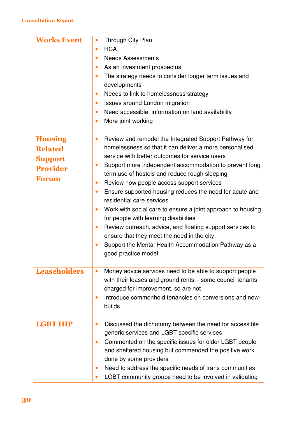| <b>Works Event</b>                                                                    | Through City Plan<br>$\bullet$<br><b>HCA</b><br>$\bullet$<br><b>Needs Assessments</b><br>$\bullet$<br>As an investment prospectus<br>$\bullet$<br>The strategy needs to consider longer term issues and<br>$\bullet$<br>developments<br>Needs to link to homelessness strategy<br>$\bullet$<br>Issues around London migration<br>$\bullet$<br>Need accessible information on land availability<br>$\bullet$<br>More joint working<br>$\bullet$                                                                                                                                                                                                                                                                                                                                                                  |
|---------------------------------------------------------------------------------------|-----------------------------------------------------------------------------------------------------------------------------------------------------------------------------------------------------------------------------------------------------------------------------------------------------------------------------------------------------------------------------------------------------------------------------------------------------------------------------------------------------------------------------------------------------------------------------------------------------------------------------------------------------------------------------------------------------------------------------------------------------------------------------------------------------------------|
| <b>Housing</b><br><b>Related</b><br><b>Support</b><br><b>Provider</b><br><b>Forum</b> | Review and remodel the Integrated Support Pathway for<br>$\bullet$<br>homelessness so that it can deliver a more personalised<br>service with better outcomes for service users<br>Support more independent accommodation to prevent long<br>$\bullet$<br>term use of hostels and reduce rough sleeping<br>Review how people access support services<br>$\bullet$<br>Ensure supported housing reduces the need for acute and<br>$\bullet$<br>residential care services<br>Work with social care to ensure a joint approach to housing<br>$\bullet$<br>for people with learning disabilities<br>Review outreach, advice, and floating support services to<br>$\bullet$<br>ensure that they meet the need in the city<br>Support the Mental Health Accommodation Pathway as a<br>$\bullet$<br>good practice model |
| <b>Leaseholders</b>                                                                   | Money advice services need to be able to support people<br>$\bullet$<br>with their leases and ground rents - some council tenants<br>charged for improvement, so are not<br>Introduce commonhold tenancies on conversions and new-<br>$\bullet$<br>builds                                                                                                                                                                                                                                                                                                                                                                                                                                                                                                                                                       |
| <b>LGBT HIP</b>                                                                       | Discussed the dichotomy between the need for accessible<br>$\bullet$<br>generic services and LGBT specific services<br>Commented on the specific issues for older LGBT people<br>$\bullet$<br>and sheltered housing but commended the positive work<br>done by some providers<br>Need to address the specific needs of trans communities<br>$\bullet$<br>LGBT community groups need to be involved in validating<br>$\bullet$                                                                                                                                                                                                                                                                                                                                                                                   |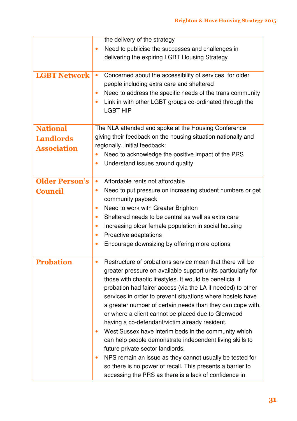|                       | the delivery of the strategy                                           |
|-----------------------|------------------------------------------------------------------------|
|                       | Need to publicise the successes and challenges in<br>$\bullet$         |
|                       | delivering the expiring LGBT Housing Strategy                          |
|                       |                                                                        |
| <b>LGBT Network</b>   | Concerned about the accessibility of services for older<br>$\bullet$   |
|                       | people including extra care and sheltered                              |
|                       | Need to address the specific needs of the trans community<br>$\bullet$ |
|                       | Link in with other LGBT groups co-ordinated through the<br>$\bullet$   |
|                       | <b>LGBT HIP</b>                                                        |
|                       |                                                                        |
| <b>National</b>       | The NLA attended and spoke at the Housing Conference                   |
| <b>Landlords</b>      | giving their feedback on the housing situation nationally and          |
| <b>Association</b>    | regionally. Initial feedback:                                          |
|                       | Need to acknowledge the positive impact of the PRS<br>$\bullet$        |
|                       | Understand issues around quality<br>$\bullet$                          |
| <b>Older Person's</b> | Affordable rents not affordable<br>$\bullet$                           |
|                       | Need to put pressure on increasing student numbers or get<br>$\bullet$ |
| <b>Council</b>        | community payback                                                      |
|                       | Need to work with Greater Brighton<br>$\bullet$                        |
|                       | Sheltered needs to be central as well as extra care<br>$\bullet$       |
|                       | Increasing older female population in social housing<br>$\bullet$      |
|                       | Proactive adaptations<br>$\bullet$                                     |
|                       | Encourage downsizing by offering more options<br>$\bullet$             |
|                       |                                                                        |
| <b>Probation</b>      | Restructure of probations service mean that there will be              |
|                       | greater pressure on available support units particularly for           |
|                       | those with chaotic lifestyles. It would be beneficial if               |
|                       | probation had fairer access (via the LA if needed) to other            |
|                       | services in order to prevent situations where hostels have             |
|                       | a greater number of certain needs than they can cope with,             |
|                       | or where a client cannot be placed due to Glenwood                     |
|                       | having a co-defendant/victim already resident.                         |
|                       | West Sussex have interim beds in the community which<br>$\bullet$      |
|                       | can help people demonstrate independent living skills to               |
|                       | future private sector landlords.                                       |
|                       | NPS remain an issue as they cannot usually be tested for<br>$\bullet$  |
|                       | so there is no power of recall. This presents a barrier to             |
|                       | accessing the PRS as there is a lack of confidence in                  |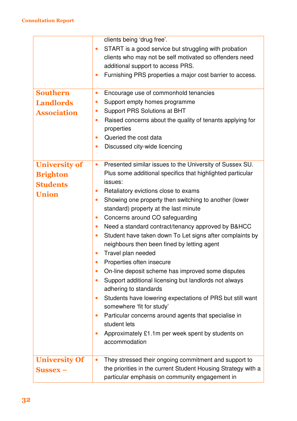|                      | clients being 'drug free'.                                             |
|----------------------|------------------------------------------------------------------------|
|                      | START is a good service but struggling with probation<br>$\bullet$     |
|                      | clients who may not be self motivated so offenders need                |
|                      | additional support to access PRS.                                      |
|                      | Furnishing PRS properties a major cost barrier to access.<br>$\bullet$ |
|                      |                                                                        |
| <b>Southern</b>      | Encourage use of commonhold tenancies<br>$\bullet$                     |
| <b>Landlords</b>     | Support empty homes programme<br>$\bullet$                             |
| <b>Association</b>   | Support PRS Solutions at BHT<br>$\bullet$                              |
|                      | Raised concerns about the quality of tenants applying for<br>$\bullet$ |
|                      | properties                                                             |
|                      | Queried the cost data                                                  |
|                      | Discussed city-wide licencing<br>٠                                     |
|                      |                                                                        |
| <b>University of</b> | Presented similar issues to the University of Sussex SU.               |
| <b>Brighton</b>      | Plus some additional specifics that highlighted particular             |
| <b>Students</b>      | issues:                                                                |
| <b>Union</b>         | Retaliatory evictions close to exams<br>$\bullet$                      |
|                      | Showing one property then switching to another (lower<br>$\bullet$     |
|                      | standard) property at the last minute                                  |
|                      | Concerns around CO safeguarding<br>$\bullet$                           |
|                      | Need a standard contract/tenancy approved by B&HCC<br>$\bullet$        |
|                      | Student have taken down To Let signs after complaints by<br>$\bullet$  |
|                      | neighbours then been fined by letting agent                            |
|                      | Travel plan needed                                                     |
|                      | Properties often insecure                                              |
|                      | On-line deposit scheme has improved some disputes                      |
|                      | Support additional licensing but landlords not always                  |
|                      | adhering to standards                                                  |
|                      | Students have lowering expectations of PRS but still want              |
|                      | somewhere 'fit for study'                                              |
|                      | Particular concerns around agents that specialise in<br>$\bullet$      |
|                      | student lets                                                           |
|                      | Approximately £1.1m per week spent by students on                      |
|                      | accommodation                                                          |
|                      |                                                                        |
| <b>University Of</b> | They stressed their ongoing commitment and support to<br>$\bullet$     |
| $S$ ussex $-$        | the priorities in the current Student Housing Strategy with a          |
|                      | particular emphasis on community engagement in                         |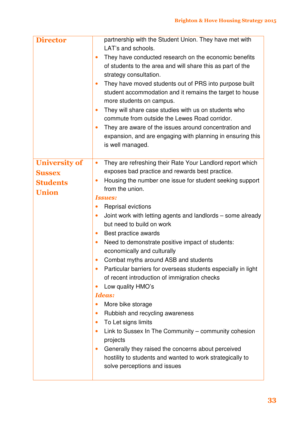| <b>Director</b>      | partnership with the Student Union. They have met with<br>LAT's and schools.<br>They have conducted research on the economic benefits<br>$\bullet$<br>of students to the area and will share this as part of the<br>strategy consultation.<br>They have moved students out of PRS into purpose built<br>$\bullet$<br>student accommodation and it remains the target to house<br>more students on campus.<br>They will share case studies with us on students who<br>$\bullet$<br>commute from outside the Lewes Road corridor.<br>They are aware of the issues around concentration and<br>$\bullet$<br>expansion, and are engaging with planning in ensuring this<br>is well managed. |
|----------------------|-----------------------------------------------------------------------------------------------------------------------------------------------------------------------------------------------------------------------------------------------------------------------------------------------------------------------------------------------------------------------------------------------------------------------------------------------------------------------------------------------------------------------------------------------------------------------------------------------------------------------------------------------------------------------------------------|
| <b>University of</b> | They are refreshing their Rate Your Landlord report which<br>$\bullet$                                                                                                                                                                                                                                                                                                                                                                                                                                                                                                                                                                                                                  |
| <b>Sussex</b>        | exposes bad practice and rewards best practice.                                                                                                                                                                                                                                                                                                                                                                                                                                                                                                                                                                                                                                         |
| <b>Students</b>      | Housing the number one issue for student seeking support<br>$\bullet$<br>from the union.                                                                                                                                                                                                                                                                                                                                                                                                                                                                                                                                                                                                |
| <b>Union</b>         | <b>Issues:</b>                                                                                                                                                                                                                                                                                                                                                                                                                                                                                                                                                                                                                                                                          |
|                      | <b>Reprisal evictions</b><br>$\bullet$                                                                                                                                                                                                                                                                                                                                                                                                                                                                                                                                                                                                                                                  |
|                      | Joint work with letting agents and landlords - some already<br>$\bullet$<br>but need to build on work                                                                                                                                                                                                                                                                                                                                                                                                                                                                                                                                                                                   |
|                      | Best practice awards<br>$\bullet$<br>Need to demonstrate positive impact of students:<br>$\bullet$                                                                                                                                                                                                                                                                                                                                                                                                                                                                                                                                                                                      |
|                      | economically and culturally                                                                                                                                                                                                                                                                                                                                                                                                                                                                                                                                                                                                                                                             |
|                      | Combat myths around ASB and students                                                                                                                                                                                                                                                                                                                                                                                                                                                                                                                                                                                                                                                    |
|                      | Particular barriers for overseas students especially in light<br>$\bullet$<br>of recent introduction of immigration checks                                                                                                                                                                                                                                                                                                                                                                                                                                                                                                                                                              |
|                      | Low quality HMO's<br>$\bullet$                                                                                                                                                                                                                                                                                                                                                                                                                                                                                                                                                                                                                                                          |
|                      | <b>Ideas:</b><br>More bike storage<br>$\bullet$                                                                                                                                                                                                                                                                                                                                                                                                                                                                                                                                                                                                                                         |
|                      | Rubbish and recycling awareness<br>$\bullet$                                                                                                                                                                                                                                                                                                                                                                                                                                                                                                                                                                                                                                            |
|                      | To Let signs limits<br>$\bullet$                                                                                                                                                                                                                                                                                                                                                                                                                                                                                                                                                                                                                                                        |
|                      | Link to Sussex In The Community – community cohesion<br>$\bullet$<br>projects                                                                                                                                                                                                                                                                                                                                                                                                                                                                                                                                                                                                           |
|                      | Generally they raised the concerns about perceived<br>$\bullet$<br>hostility to students and wanted to work strategically to<br>solve perceptions and issues                                                                                                                                                                                                                                                                                                                                                                                                                                                                                                                            |
|                      |                                                                                                                                                                                                                                                                                                                                                                                                                                                                                                                                                                                                                                                                                         |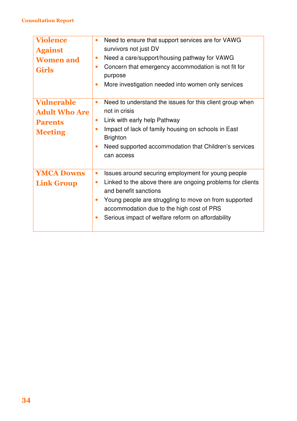| <b>Violence</b><br><b>Against</b><br><b>Women and</b><br><b>Girls</b>         | Need to ensure that support services are for VAWG<br>$\bullet$<br>survivors not just DV<br>Need a care/support/housing pathway for VAWG<br>$\bullet$<br>Concern that emergency accommodation is not fit for<br>$\bullet$<br>purpose<br>More investigation needed into women only services<br>$\bullet$                                      |
|-------------------------------------------------------------------------------|---------------------------------------------------------------------------------------------------------------------------------------------------------------------------------------------------------------------------------------------------------------------------------------------------------------------------------------------|
| <b>Vulnerable</b><br><b>Adult Who Are</b><br><b>Parents</b><br><b>Meeting</b> | Need to understand the issues for this client group when<br>$\bullet$<br>not in crisis<br>Link with early help Pathway<br>$\bullet$<br>Impact of lack of family housing on schools in East<br>$\bullet$<br><b>Brighton</b><br>Need supported accommodation that Children's services<br>$\bullet$<br>can access                              |
| <b>YMCA Downs</b><br><b>Link Group</b>                                        | Issues around securing employment for young people<br>$\bullet$<br>Linked to the above there are ongoing problems for clients<br>$\bullet$<br>and benefit sanctions<br>Young people are struggling to move on from supported<br>$\bullet$<br>accommodation due to the high cost of PRS<br>Serious impact of welfare reform on affordability |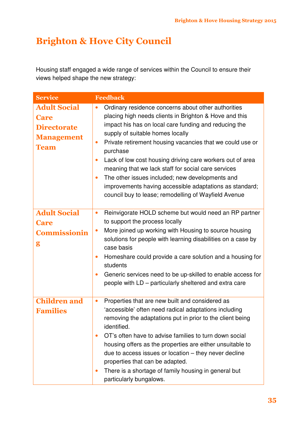### Brighton & Hove City Council

Housing staff engaged a wide range of services within the Council to ensure their views helped shape the new strategy:

| <b>Service</b>                                                                               | <b>Feedback</b>                                                                                                                                                                                                                                                                                                                                                                                                                                                                                                                                                                                                                   |
|----------------------------------------------------------------------------------------------|-----------------------------------------------------------------------------------------------------------------------------------------------------------------------------------------------------------------------------------------------------------------------------------------------------------------------------------------------------------------------------------------------------------------------------------------------------------------------------------------------------------------------------------------------------------------------------------------------------------------------------------|
| <b>Adult Social</b><br><b>Care</b><br><b>Directorate</b><br><b>Management</b><br><b>Team</b> | Ordinary residence concerns about other authorities<br>$\bullet$<br>placing high needs clients in Brighton & Hove and this<br>impact his has on local care funding and reducing the<br>supply of suitable homes locally<br>Private retirement housing vacancies that we could use or<br>$\bullet$<br>purchase<br>Lack of low cost housing driving care workers out of area<br>$\bullet$<br>meaning that we lack staff for social care services<br>The other issues included; new developments and<br>$\bullet$<br>improvements having accessible adaptations as standard;<br>council buy to lease; remodelling of Wayfield Avenue |
| <b>Adult Social</b><br><b>Care</b><br><b>Commissionin</b><br>g                               | Reinvigorate HOLD scheme but would need an RP partner<br>$\bullet$<br>to support the process locally<br>More joined up working with Housing to source housing<br>$\bullet$<br>solutions for people with learning disabilities on a case by<br>case basis<br>Homeshare could provide a care solution and a housing for<br>$\bullet$<br>students<br>Generic services need to be up-skilled to enable access for<br>$\bullet$<br>people with LD – particularly sheltered and extra care                                                                                                                                              |
| <b>Children and</b><br><b>Families</b>                                                       | Properties that are new built and considered as<br>$\bullet$<br>'accessible' often need radical adaptations including<br>removing the adaptations put in prior to the client being<br>identified.<br>OT's often have to advise families to turn down social<br>$\bullet$<br>housing offers as the properties are either unsuitable to<br>due to access issues or location – they never decline<br>properties that can be adapted.<br>There is a shortage of family housing in general but<br>$\bullet$<br>particularly bungalows.                                                                                                 |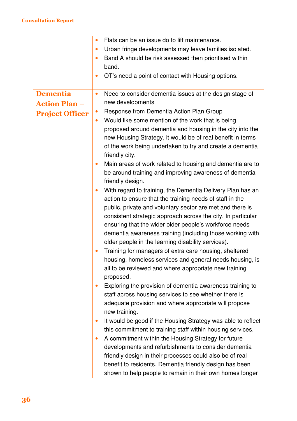|                        | Flats can be an issue do to lift maintenance.<br>$\bullet$                |
|------------------------|---------------------------------------------------------------------------|
|                        | Urban fringe developments may leave families isolated.<br>$\bullet$       |
|                        | Band A should be risk assessed then prioritised within<br>$\bullet$       |
|                        | band.                                                                     |
|                        | OT's need a point of contact with Housing options.<br>$\bullet$           |
|                        |                                                                           |
| <b>Dementia</b>        | Need to consider dementia issues at the design stage of<br>$\bullet$      |
| <b>Action Plan -</b>   | new developments                                                          |
| <b>Project Officer</b> | Response from Dementia Action Plan Group<br>$\bullet$                     |
|                        | Would like some mention of the work that is being<br>$\bullet$            |
|                        | proposed around dementia and housing in the city into the                 |
|                        | new Housing Strategy, it would be of real benefit in terms                |
|                        | of the work being undertaken to try and create a dementia                 |
|                        | friendly city.                                                            |
|                        | Main areas of work related to housing and dementia are to<br>$\bullet$    |
|                        | be around training and improving awareness of dementia                    |
|                        | friendly design.                                                          |
|                        | With regard to training, the Dementia Delivery Plan has an<br>$\bullet$   |
|                        | action to ensure that the training needs of staff in the                  |
|                        | public, private and voluntary sector are met and there is                 |
|                        | consistent strategic approach across the city. In particular              |
|                        | ensuring that the wider older people's workforce needs                    |
|                        | dementia awareness training (including those working with                 |
|                        | older people in the learning disability services).                        |
|                        | Training for managers of extra care housing, sheltered<br>$\bullet$       |
|                        | housing, homeless services and general needs housing, is                  |
|                        | all to be reviewed and where appropriate new training                     |
|                        | proposed.                                                                 |
|                        | Exploring the provision of dementia awareness training to<br>$\bullet$    |
|                        | staff across housing services to see whether there is                     |
|                        | adequate provision and where appropriate will propose                     |
|                        | new training.                                                             |
|                        | It would be good if the Housing Strategy was able to reflect<br>$\bullet$ |
|                        | this commitment to training staff within housing services.                |
|                        | A commitment within the Housing Strategy for future<br>$\bullet$          |
|                        | developments and refurbishments to consider dementia                      |
|                        | friendly design in their processes could also be of real                  |
|                        | benefit to residents. Dementia friendly design has been                   |
|                        | shown to help people to remain in their own homes longer                  |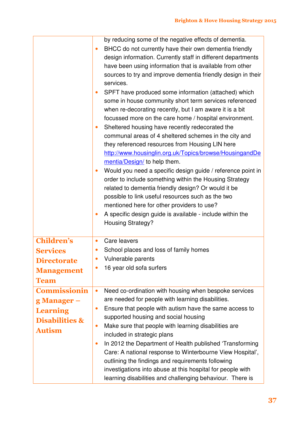|                                                                                                                                                                                      | by reducing some of the negative effects of dementia.<br>BHCC do not currently have their own dementia friendly<br>$\bullet$<br>design information. Currently staff in different departments<br>have been using information that is available from other<br>sources to try and improve dementia friendly design in their<br>services.<br>SPFT have produced some information (attached) which<br>$\bullet$<br>some in house community short term services referenced<br>when re-decorating recently, but I am aware it is a bit<br>focussed more on the care home / hospital environment.<br>Sheltered housing have recently redecorated the<br>$\bullet$<br>communal areas of 4 sheltered schemes in the city and<br>they referenced resources from Housing LIN here<br>http://www.housinglin.org.uk/Topics/browse/HousingandDe<br>mentia/Design/ to help them.<br>Would you need a specific design guide / reference point in<br>order to include something within the Housing Strategy<br>related to dementia friendly design? Or would it be<br>possible to link useful resources such as the two<br>mentioned here for other providers to use?<br>A specific design guide is available - include within the<br>$\bullet$<br><b>Housing Strategy?</b> |
|--------------------------------------------------------------------------------------------------------------------------------------------------------------------------------------|-----------------------------------------------------------------------------------------------------------------------------------------------------------------------------------------------------------------------------------------------------------------------------------------------------------------------------------------------------------------------------------------------------------------------------------------------------------------------------------------------------------------------------------------------------------------------------------------------------------------------------------------------------------------------------------------------------------------------------------------------------------------------------------------------------------------------------------------------------------------------------------------------------------------------------------------------------------------------------------------------------------------------------------------------------------------------------------------------------------------------------------------------------------------------------------------------------------------------------------------------------------|
| <b>Children's</b><br><b>Services</b><br><b>Directorate</b><br><b>Management</b><br><b>Team</b><br><b>Commissionin</b><br>g Manager –<br><b>Learning</b><br><b>Disabilities &amp;</b> | Care leavers<br>$\bullet$<br>School places and loss of family homes<br>Vulnerable parents<br>$\bullet$<br>16 year old sofa surfers<br>$\bullet$<br>Need co-ordination with housing when bespoke services<br>$\bullet$<br>are needed for people with learning disabilities.<br>Ensure that people with autism have the same access to<br>$\bullet$<br>supported housing and social housing                                                                                                                                                                                                                                                                                                                                                                                                                                                                                                                                                                                                                                                                                                                                                                                                                                                                 |
| <b>Autism</b>                                                                                                                                                                        | Make sure that people with learning disabilities are<br>$\bullet$<br>included in strategic plans<br>In 2012 the Department of Health published 'Transforming<br>$\bullet$<br>Care: A national response to Winterbourne View Hospital',<br>outlining the findings and requirements following<br>investigations into abuse at this hospital for people with<br>learning disabilities and challenging behaviour. There is                                                                                                                                                                                                                                                                                                                                                                                                                                                                                                                                                                                                                                                                                                                                                                                                                                    |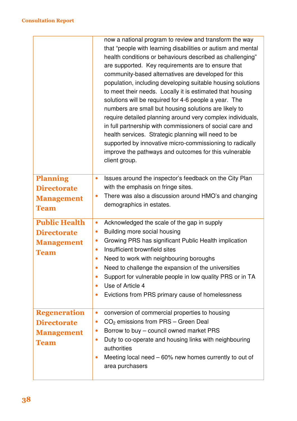|                      | now a national program to review and transform the way<br>that "people with learning disabilities or autism and mental<br>health conditions or behaviours described as challenging"<br>are supported. Key requirements are to ensure that<br>community-based alternatives are developed for this<br>population, including developing suitable housing solutions<br>to meet their needs. Locally it is estimated that housing<br>solutions will be required for 4-6 people a year. The<br>numbers are small but housing solutions are likely to<br>require detailed planning around very complex individuals,<br>in full partnership with commissioners of social care and<br>health services. Strategic planning will need to be<br>supported by innovative micro-commissioning to radically<br>improve the pathways and outcomes for this vulnerable<br>client group. |
|----------------------|------------------------------------------------------------------------------------------------------------------------------------------------------------------------------------------------------------------------------------------------------------------------------------------------------------------------------------------------------------------------------------------------------------------------------------------------------------------------------------------------------------------------------------------------------------------------------------------------------------------------------------------------------------------------------------------------------------------------------------------------------------------------------------------------------------------------------------------------------------------------|
| <b>Planning</b>      | Issues around the inspector's feedback on the City Plan<br>$\bullet$                                                                                                                                                                                                                                                                                                                                                                                                                                                                                                                                                                                                                                                                                                                                                                                                   |
| <b>Directorate</b>   | with the emphasis on fringe sites.                                                                                                                                                                                                                                                                                                                                                                                                                                                                                                                                                                                                                                                                                                                                                                                                                                     |
| <b>Management</b>    | There was also a discussion around HMO's and changing<br>۰<br>demographics in estates.                                                                                                                                                                                                                                                                                                                                                                                                                                                                                                                                                                                                                                                                                                                                                                                 |
| <b>Team</b>          |                                                                                                                                                                                                                                                                                                                                                                                                                                                                                                                                                                                                                                                                                                                                                                                                                                                                        |
| <b>Public Health</b> | Acknowledged the scale of the gap in supply<br>$\bullet$                                                                                                                                                                                                                                                                                                                                                                                                                                                                                                                                                                                                                                                                                                                                                                                                               |
| <b>Directorate</b>   | Building more social housing<br>$\bullet$                                                                                                                                                                                                                                                                                                                                                                                                                                                                                                                                                                                                                                                                                                                                                                                                                              |
| <b>Management</b>    | Growing PRS has significant Public Health implication<br>$\bullet$                                                                                                                                                                                                                                                                                                                                                                                                                                                                                                                                                                                                                                                                                                                                                                                                     |
| <b>Team</b>          | Insufficient brownfield sites<br>۰<br>Need to work with neighbouring boroughs                                                                                                                                                                                                                                                                                                                                                                                                                                                                                                                                                                                                                                                                                                                                                                                          |
|                      | Need to challenge the expansion of the universities<br>$\bullet$                                                                                                                                                                                                                                                                                                                                                                                                                                                                                                                                                                                                                                                                                                                                                                                                       |
|                      | Support for vulnerable people in low quality PRS or in TA<br>$\bullet$                                                                                                                                                                                                                                                                                                                                                                                                                                                                                                                                                                                                                                                                                                                                                                                                 |
|                      | Use of Article 4<br>$\bullet$                                                                                                                                                                                                                                                                                                                                                                                                                                                                                                                                                                                                                                                                                                                                                                                                                                          |
|                      | Evictions from PRS primary cause of homelessness<br>$\bullet$                                                                                                                                                                                                                                                                                                                                                                                                                                                                                                                                                                                                                                                                                                                                                                                                          |
| <b>Regeneration</b>  | conversion of commercial properties to housing<br>$\bullet$                                                                                                                                                                                                                                                                                                                                                                                                                                                                                                                                                                                                                                                                                                                                                                                                            |
| <b>Directorate</b>   | $CO2$ emissions from PRS – Green Deal<br>$\bullet$                                                                                                                                                                                                                                                                                                                                                                                                                                                                                                                                                                                                                                                                                                                                                                                                                     |
| <b>Management</b>    | Borrow to buy – council owned market PRS<br>$\bullet$<br>$\bullet$                                                                                                                                                                                                                                                                                                                                                                                                                                                                                                                                                                                                                                                                                                                                                                                                     |
| <b>Team</b>          | Duty to co-operate and housing links with neighbouring<br>authorities                                                                                                                                                                                                                                                                                                                                                                                                                                                                                                                                                                                                                                                                                                                                                                                                  |
|                      | Meeting local need $-60\%$ new homes currently to out of<br>$\bullet$                                                                                                                                                                                                                                                                                                                                                                                                                                                                                                                                                                                                                                                                                                                                                                                                  |
|                      | area purchasers                                                                                                                                                                                                                                                                                                                                                                                                                                                                                                                                                                                                                                                                                                                                                                                                                                                        |
|                      |                                                                                                                                                                                                                                                                                                                                                                                                                                                                                                                                                                                                                                                                                                                                                                                                                                                                        |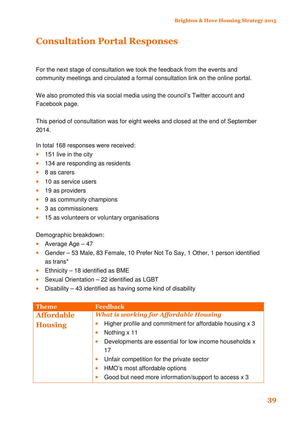#### Consultation Portal Responses

For the next stage of consultation we took the feedback from the events and community meetings and circulated a formal consultation link on the online portal.

We also promoted this via social media using the council's Twitter account and Facebook page.

This period of consultation was for eight weeks and closed at the end of September 2014.

In total 168 responses were received:

- 151 live in the city
- 134 are responding as residents
- 8 as carers
- 10 as service users
- 19 as providers
- 9 as community champions
- 3 as commissioners
- 15 as volunteers or voluntary organisations

Demographic breakdown:

- Average Age 47
- Gender 53 Male, 83 Female, 10 Prefer Not To Say, 1 Other, 1 person identified as trans\*
- $\bullet$  Ethnicity 18 identified as BME
- Sexual Orientation 22 identified as LGBT
- Disability 43 identified as having some kind of disability

| <b>Theme</b>      | <b>Feedback</b>                                                                       |
|-------------------|---------------------------------------------------------------------------------------|
| <b>Affordable</b> | <b>What is working for Affordable Housing</b>                                         |
| <b>Housing</b>    | Higher profile and commitment for affordable housing x 3<br>Nothing x 11<br>$\bullet$ |
|                   | Developments are essential for low income households x<br>۰<br>17                     |
|                   | Unfair competition for the private sector                                             |
|                   | HMO's most affordable options                                                         |
|                   | Good but need more information/support to access x 3                                  |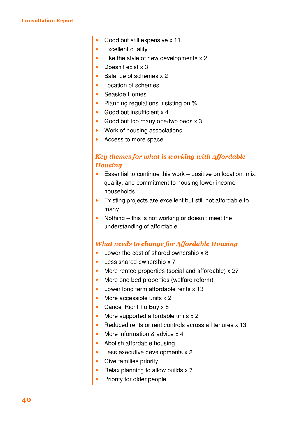| Good but still expensive x 11<br>$\bullet$                                |
|---------------------------------------------------------------------------|
| <b>Excellent quality</b><br>$\bullet$                                     |
| Like the style of new developments x 2<br>$\bullet$                       |
| Doesn't exist x 3<br>$\bullet$                                            |
| Balance of schemes x 2<br>$\bullet$                                       |
| Location of schemes<br>$\bullet$                                          |
| Seaside Homes<br>$\bullet$                                                |
| Planning regulations insisting on %<br>$\bullet$                          |
| Good but insufficient x 4<br>$\bullet$                                    |
| Good but too many one/two beds x 3<br>$\bullet$                           |
| Work of housing associations<br>$\bullet$                                 |
| Access to more space<br>$\bullet$                                         |
|                                                                           |
| Key themes for what is working with Affordable                            |
| <b>Housing</b>                                                            |
| Essential to continue this work – positive on location, mix,<br>$\bullet$ |
| quality, and commitment to housing lower income                           |
| households                                                                |
| Existing projects are excellent but still not affordable to<br>$\bullet$  |
| many                                                                      |
| Nothing – this is not working or doesn't meet the<br>$\bullet$            |
| understanding of affordable                                               |
|                                                                           |
| <b>What needs to change for Affordable Housing</b>                        |
| Lower the cost of shared ownership x 8                                    |
| Less shared ownership x 7                                                 |
| More rented properties (social and affordable) x 27<br>$\bullet$          |
| More one bed properties (welfare reform)<br>$\bullet$                     |
| Lower long term affordable rents x 13                                     |
| More accessible units x 2<br>$\bullet$                                    |
| Cancel Right To Buy x 8                                                   |
| More supported affordable units x 2<br>$\bullet$                          |
| Reduced rents or rent controls across all tenures x 13<br>$\bullet$       |
| More information & advice x 4<br>$\bullet$                                |
| Abolish affordable housing<br>$\bullet$                                   |
| Less executive developments x 2<br>$\bullet$                              |
| Give families priority                                                    |
| Relax planning to allow builds x 7<br>$\bullet$                           |
| Priority for older people                                                 |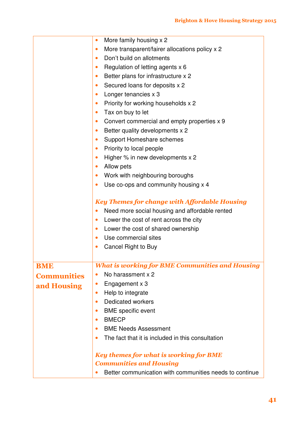|                    | More family housing x 2<br>$\bullet$                                |
|--------------------|---------------------------------------------------------------------|
|                    | More transparent/fairer allocations policy x 2<br>$\bullet$         |
|                    | Don't build on allotments<br>$\bullet$                              |
|                    | Regulation of letting agents x 6<br>$\bullet$                       |
|                    | Better plans for infrastructure x 2<br>$\bullet$                    |
|                    | Secured loans for deposits x 2<br>$\bullet$                         |
|                    | Longer tenancies x 3<br>$\bullet$                                   |
|                    | Priority for working households x 2<br>$\bullet$                    |
|                    | Tax on buy to let<br>$\bullet$                                      |
|                    | Convert commercial and empty properties x 9<br>$\bullet$            |
|                    | $\bullet$                                                           |
|                    | Better quality developments x 2                                     |
|                    | Support Homeshare schemes<br>$\bullet$                              |
|                    | Priority to local people<br>$\bullet$                               |
|                    | Higher % in new developments x 2<br>$\bullet$                       |
|                    | Allow pets<br>$\bullet$                                             |
|                    | Work with neighbouring boroughs<br>$\bullet$                        |
|                    | Use co-ops and community housing x 4<br>$\bullet$                   |
|                    | <b>Key Themes for change with Affordable Housing</b>                |
|                    | Need more social housing and affordable rented<br>$\bullet$         |
|                    | Lower the cost of rent across the city<br>$\bullet$                 |
|                    | Lower the cost of shared ownership<br>$\bullet$                     |
|                    | Use commercial sites<br>$\bullet$                                   |
|                    | Cancel Right to Buy<br>$\bullet$                                    |
|                    | <b>What is working for BME Communities and Housing</b>              |
| <b>BME</b>         | No harassment x 2<br>$\bullet$                                      |
| <b>Communities</b> | Engagement x 3<br>$\bullet$                                         |
| and Housing        | Help to integrate<br>$\bullet$                                      |
|                    | <b>Dedicated workers</b><br>$\bullet$                               |
|                    |                                                                     |
|                    | <b>BME</b> specific event<br>$\bullet$<br><b>BMECP</b><br>$\bullet$ |
|                    | <b>BME Needs Assessment</b>                                         |
|                    | $\bullet$                                                           |
|                    | The fact that it is included in this consultation<br>$\bullet$      |
|                    | <b>Key themes for what is working for BME</b>                       |
|                    | <b>Communities and Housing</b>                                      |
|                    | Better communication with communities needs to continue             |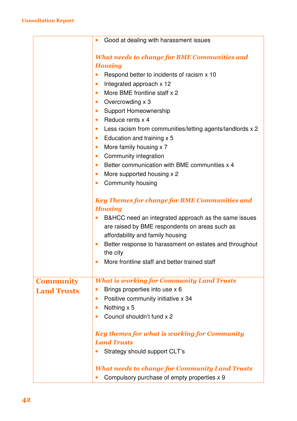|                    | Good at dealing with harassment issues                                 |
|--------------------|------------------------------------------------------------------------|
|                    |                                                                        |
|                    | <b>What needs to change for BME Communities and</b>                    |
|                    | <b>Housing</b>                                                         |
|                    | Respond better to incidents of racism x 10                             |
|                    | Integrated approach x 12<br>$\bullet$                                  |
|                    | More BME frontline staff x 2<br>$\bullet$                              |
|                    | Overcrowding x 3<br>$\bullet$                                          |
|                    | <b>Support Homeownership</b><br>$\bullet$                              |
|                    | Reduce rents x 4<br>$\bullet$                                          |
|                    | Less racism from communities/letting agents/landlords x 2<br>$\bullet$ |
|                    | Education and training x 5<br>$\bullet$                                |
|                    | More family housing x 7<br>$\bullet$                                   |
|                    | Community integration<br>$\bullet$                                     |
|                    | Better communication with BME communities x 4<br>$\bullet$             |
|                    | More supported housing x 2<br>$\bullet$                                |
|                    | Community housing<br>$\bullet$                                         |
|                    |                                                                        |
|                    | <b>Key Themes for change for BME Communities and</b>                   |
|                    | <b>Housing</b>                                                         |
|                    | B&HCC need an integrated approach as the same issues                   |
|                    | are raised by BME respondents on areas such as                         |
|                    | affordability and family housing                                       |
|                    | Better response to harassment on estates and throughout<br>$\bullet$   |
|                    | the city                                                               |
|                    | More frontline staff and better trained staff                          |
|                    |                                                                        |
| <b>Community</b>   | <b>What is working for Community Land Trusts</b>                       |
| <b>Land Trusts</b> | Brings properties into use x 6                                         |
|                    | Positive community initiative x 34<br>$\bullet$                        |
|                    | Nothing x 5<br>$\bullet$                                               |
|                    | Council shouldn't fund x 2                                             |
|                    | <b>Key themes for what is working for Community</b>                    |
|                    | <b>Land Trusts</b>                                                     |
|                    | Strategy should support CLT's                                          |
|                    | <b>What needs to change for Community Land Trusts</b>                  |
|                    | Compulsory purchase of empty properties x 9                            |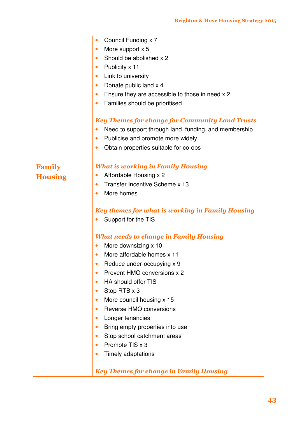|                | Council Funding x 7<br>$\bullet$                                   |
|----------------|--------------------------------------------------------------------|
|                | More support x 5<br>$\bullet$                                      |
|                | Should be abolished x 2<br>$\bullet$                               |
|                | Publicity x 11<br>$\bullet$                                        |
|                | Link to university<br>$\bullet$                                    |
|                | Donate public land x 4<br>$\bullet$                                |
|                | Ensure they are accessible to those in need x 2<br>$\bullet$       |
|                | Families should be prioritised<br>$\bullet$                        |
|                |                                                                    |
|                | <b>Key Themes for change for Community Land Trusts</b>             |
|                | Need to support through land, funding, and membership<br>$\bullet$ |
|                | Publicise and promote more widely<br>$\bullet$                     |
|                | Obtain properties suitable for co-ops<br>$\bullet$                 |
|                |                                                                    |
| <b>Family</b>  | <b>What is working in Family Housing</b>                           |
| <b>Housing</b> | Affordable Housing x 2<br>$\bullet$                                |
|                | Transfer Incentive Scheme x 13<br>$\bullet$                        |
|                | More homes<br>$\bullet$                                            |
|                | <b>Key themes for what is working in Family Housing</b>            |
|                | Support for the TIS                                                |
|                | <b>What needs to change in Family Housing</b>                      |
|                | More downsizing x 10<br>$\bullet$                                  |
|                | More affordable homes x 11<br>$\bullet$                            |
|                | Reduce under-occupying x 9<br>$\bullet$                            |
|                | Prevent HMO conversions x 2<br>$\bullet$                           |
|                | HA should offer TIS<br>$\bullet$                                   |
|                | Stop RTB x 3<br>$\bullet$                                          |
|                | More council housing x 15<br>$\bullet$                             |
|                | Reverse HMO conversions<br>$\bullet$                               |
|                | Longer tenancies<br>$\bullet$                                      |
|                | Bring empty properties into use<br>$\bullet$                       |
|                | Stop school catchment areas<br>$\bullet$                           |
|                | Promote TIS x 3<br>$\bullet$                                       |
|                | Timely adaptations<br>$\bullet$                                    |
|                | <b>Key Themes for change in Family Housing</b>                     |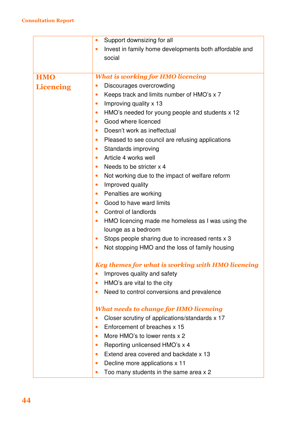|                  | Support downsizing for all<br>$\bullet$                             |
|------------------|---------------------------------------------------------------------|
|                  | Invest in family home developments both affordable and<br>$\bullet$ |
|                  | social                                                              |
|                  |                                                                     |
| <b>HMO</b>       | <b>What is working for HMO licencing</b>                            |
| <b>Licencing</b> | Discourages overcrowding<br>$\bullet$                               |
|                  | Keeps track and limits number of HMO's x 7<br>$\bullet$             |
|                  | Improving quality x 13<br>$\bullet$                                 |
|                  | HMO's needed for young people and students x 12<br>$\bullet$        |
|                  | Good where licenced<br>$\bullet$                                    |
|                  | Doesn't work as ineffectual<br>$\bullet$                            |
|                  | Pleased to see council are refusing applications<br>$\bullet$       |
|                  | Standards improving<br>$\bullet$                                    |
|                  | Article 4 works well<br>$\bullet$                                   |
|                  | Needs to be stricter x 4<br>$\bullet$                               |
|                  | Not working due to the impact of welfare reform<br>$\bullet$        |
|                  | Improved quality<br>$\bullet$                                       |
|                  | Penalties are working<br>$\bullet$                                  |
|                  | Good to have ward limits<br>$\bullet$                               |
|                  | Control of landlords<br>$\bullet$                                   |
|                  | HMO licencing made me homeless as I was using the<br>$\bullet$      |
|                  | lounge as a bedroom                                                 |
|                  | Stops people sharing due to increased rents x 3<br>$\bullet$        |
|                  | Not stopping HMO and the loss of family housing<br>$\bullet$        |
|                  | <b>Key themes for what is working with HMO licencing</b>            |
|                  | Improves quality and safety<br>$\bullet$                            |
|                  | HMO's are vital to the city<br>$\bullet$                            |
|                  | Need to control conversions and prevalence<br>$\bullet$             |
|                  | <b>What needs to change for HMO licencing</b>                       |
|                  | Closer scrutiny of applications/standards x 17<br>$\bullet$         |
|                  | Enforcement of breaches x 15<br>$\bullet$                           |
|                  | More HMO's to lower rents x 2<br>$\bullet$                          |
|                  | Reporting unlicensed HMO's x 4<br>$\bullet$                         |
|                  | Extend area covered and backdate x 13<br>$\bullet$                  |
|                  | Decline more applications x 11<br>$\bullet$                         |
|                  | Too many students in the same area x 2<br>$\bullet$                 |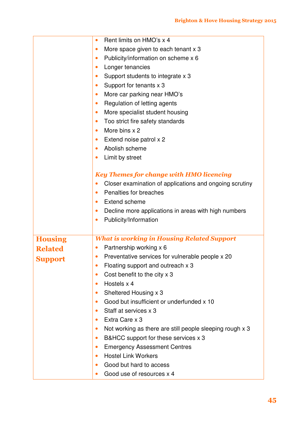|                | Rent limits on HMO's x 4<br>$\bullet$                                 |
|----------------|-----------------------------------------------------------------------|
|                | More space given to each tenant x 3<br>$\bullet$                      |
|                | Publicity/information on scheme x 6<br>$\bullet$                      |
|                | Longer tenancies<br>$\bullet$                                         |
|                | Support students to integrate x 3<br>$\bullet$                        |
|                | Support for tenants x 3<br>$\bullet$                                  |
|                | More car parking near HMO's<br>$\bullet$                              |
|                | Regulation of letting agents<br>$\bullet$                             |
|                | More specialist student housing<br>$\bullet$                          |
|                | Too strict fire safety standards<br>$\bullet$                         |
|                | More bins x 2<br>$\bullet$                                            |
|                | Extend noise patrol x 2<br>$\bullet$                                  |
|                | Abolish scheme                                                        |
|                | Limit by street<br>$\bullet$                                          |
|                |                                                                       |
|                | <b>Key Themes for change with HMO licencing</b>                       |
|                | Closer examination of applications and ongoing scrutiny               |
|                | Penalties for breaches<br>$\bullet$                                   |
|                | <b>Extend scheme</b>                                                  |
|                | Decline more applications in areas with high numbers<br>$\bullet$     |
|                | Publicity/Information<br>$\bullet$                                    |
|                |                                                                       |
| <b>Housing</b> | <b>What is working in Housing Related Support</b>                     |
| <b>Related</b> | Partnership working x 6<br>$\bullet$                                  |
|                | Preventative services for vulnerable people x 20                      |
| <b>Support</b> | Floating support and outreach x 3<br>$\bullet$                        |
|                | Cost benefit to the city x 3<br>$\bullet$                             |
|                | Hostels x 4<br>$\bullet$                                              |
|                | Sheltered Housing x 3<br>$\bullet$                                    |
|                | Good but insufficient or underfunded x 10<br>$\bullet$                |
|                | Staff at services x 3<br>$\bullet$                                    |
|                | Extra Care x 3<br>$\bullet$                                           |
|                | Not working as there are still people sleeping rough x 3<br>$\bullet$ |
|                | B&HCC support for these services x 3<br>$\bullet$                     |
|                | <b>Emergency Assessment Centres</b><br>$\bullet$                      |
|                | <b>Hostel Link Workers</b><br>$\bullet$                               |
|                | Good but hard to access<br>$\bullet$                                  |
|                | Good use of resources x 4                                             |
|                |                                                                       |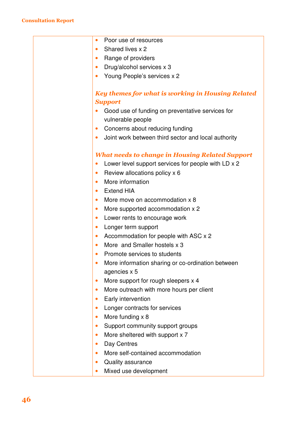| Poor use of resources<br>$\bullet$                               |
|------------------------------------------------------------------|
| Shared lives x 2<br>$\bullet$                                    |
| Range of providers<br>$\bullet$                                  |
| Drug/alcohol services x 3<br>$\bullet$                           |
| Young People's services x 2<br>$\bullet$                         |
|                                                                  |
| <b>Key themes for what is working in Housing Related</b>         |
| <b>Support</b>                                                   |
| Good use of funding on preventative services for                 |
| vulnerable people                                                |
| Concerns about reducing funding<br>$\bullet$                     |
| Joint work between third sector and local authority<br>$\bullet$ |
| <b>What needs to change in Housing Related Support</b>           |
| Lower level support services for people with LD x 2<br>$\bullet$ |
| Review allocations policy x 6<br>$\bullet$                       |
| More information<br>$\bullet$                                    |
| <b>Extend HIA</b><br>$\bullet$                                   |
| More move on accommodation x 8<br>$\bullet$                      |
| More supported accommodation x 2<br>$\bullet$                    |
| Lower rents to encourage work<br>$\bullet$                       |
| Longer term support<br>$\bullet$                                 |
| Accommodation for people with ASC x 2<br>$\bullet$               |
| More and Smaller hostels x 3<br>$\bullet$                        |
| Promote services to students<br>$\bullet$                        |
| More information sharing or co-ordination between                |
| agencies x 5                                                     |
| More support for rough sleepers x 4<br>$\bullet$                 |
| More outreach with more hours per client<br>$\bullet$            |
| Early intervention<br>$\bullet$                                  |
| Longer contracts for services<br>$\bullet$                       |
| More funding x 8<br>$\bullet$                                    |
| Support community support groups<br>$\bullet$                    |
| More sheltered with support x 7<br>$\bullet$                     |
| Day Centres<br>$\bullet$                                         |
| More self-contained accommodation<br>$\bullet$                   |
| <b>Quality assurance</b><br>$\bullet$                            |
| Mixed use development<br>$\bullet$                               |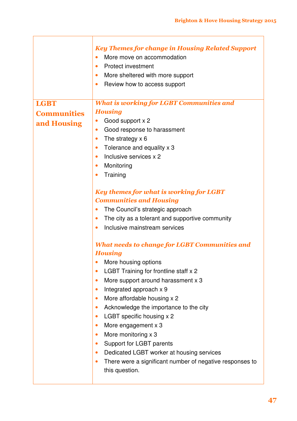|                    | <b>Key Themes for change in Housing Related Support</b><br>More move on accommodation<br>$\bullet$<br><b>Protect investment</b><br>$\bullet$<br>More sheltered with more support<br>$\bullet$<br>Review how to access support<br>$\bullet$ |
|--------------------|--------------------------------------------------------------------------------------------------------------------------------------------------------------------------------------------------------------------------------------------|
| <b>LGBT</b>        | <b>What is working for LGBT Communities and</b>                                                                                                                                                                                            |
| <b>Communities</b> | <b>Housing</b><br>Good support x 2<br>$\bullet$                                                                                                                                                                                            |
| and Housing        | Good response to harassment<br>$\bullet$                                                                                                                                                                                                   |
|                    | The strategy $\times$ 6<br>$\bullet$                                                                                                                                                                                                       |
|                    | Tolerance and equality x 3<br>$\bullet$                                                                                                                                                                                                    |
|                    | Inclusive services x 2<br>$\bullet$                                                                                                                                                                                                        |
|                    | Monitoring<br>$\bullet$                                                                                                                                                                                                                    |
|                    | Training<br>$\bullet$                                                                                                                                                                                                                      |
|                    | <b>Key themes for what is working for LGBT</b>                                                                                                                                                                                             |
|                    | <b>Communities and Housing</b>                                                                                                                                                                                                             |
|                    | The Council's strategic approach<br>$\bullet$                                                                                                                                                                                              |
|                    | The city as a tolerant and supportive community<br>$\bullet$                                                                                                                                                                               |
|                    | Inclusive mainstream services<br>$\bullet$                                                                                                                                                                                                 |
|                    | <b>What needs to change for LGBT Communities and</b>                                                                                                                                                                                       |
|                    | <b>Housing</b>                                                                                                                                                                                                                             |
|                    | More housing options                                                                                                                                                                                                                       |
|                    | LGBT Training for frontline staff x 2<br>$\bullet$                                                                                                                                                                                         |
|                    | More support around harassment x 3<br>$\bullet$<br>$\bullet$                                                                                                                                                                               |
|                    | Integrated approach x 9<br>More affordable housing x 2<br>$\bullet$                                                                                                                                                                        |
|                    | Acknowledge the importance to the city<br>$\bullet$                                                                                                                                                                                        |
|                    | LGBT specific housing x 2<br>$\bullet$                                                                                                                                                                                                     |
|                    | More engagement x 3<br>$\bullet$                                                                                                                                                                                                           |
|                    | More monitoring x 3<br>$\bullet$                                                                                                                                                                                                           |
|                    | Support for LGBT parents<br>$\bullet$                                                                                                                                                                                                      |
|                    | Dedicated LGBT worker at housing services<br>$\bullet$                                                                                                                                                                                     |
|                    | There were a significant number of negative responses to<br>$\bullet$                                                                                                                                                                      |
|                    | this question.                                                                                                                                                                                                                             |
|                    |                                                                                                                                                                                                                                            |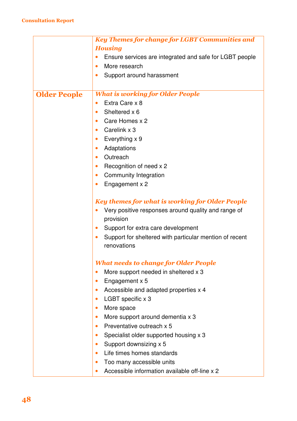|                     | <b>Key Themes for change for LGBT Communities and</b>                |
|---------------------|----------------------------------------------------------------------|
|                     | <b>Housing</b>                                                       |
|                     | Ensure services are integrated and safe for LGBT people              |
|                     | More research<br>$\bullet$                                           |
|                     | Support around harassment                                            |
|                     |                                                                      |
| <b>Older People</b> | <b>What is working for Older People</b>                              |
|                     | Extra Care x 8<br>$\bullet$                                          |
|                     | Sheltered x 6<br>$\bullet$                                           |
|                     | Care Homes x 2<br>$\bullet$                                          |
|                     | Carelink x 3<br>$\bullet$                                            |
|                     | Everything x 9<br>$\bullet$                                          |
|                     | Adaptations<br>$\bullet$                                             |
|                     | Outreach<br>$\bullet$                                                |
|                     | Recognition of need x 2<br>$\bullet$                                 |
|                     | <b>Community Integration</b><br>$\bullet$                            |
|                     | Engagement x 2                                                       |
|                     |                                                                      |
|                     | <b>Key themes for what is working for Older People</b>               |
|                     | Very positive responses around quality and range of                  |
|                     | provision                                                            |
|                     | Support for extra care development<br>$\bullet$                      |
|                     | Support for sheltered with particular mention of recent<br>$\bullet$ |
|                     | renovations                                                          |
|                     |                                                                      |
|                     | <b>What needs to change for Older People</b>                         |
|                     | More support needed in sheltered x 3<br>$\bullet$                    |
|                     | Engagement x 5<br>$\bullet$                                          |
|                     | Accessible and adapted properties x 4<br>$\bullet$                   |
|                     | LGBT specific x 3<br>$\bullet$                                       |
|                     | More space<br>$\bullet$                                              |
|                     | More support around dementia x 3<br>$\bullet$                        |
|                     | Preventative outreach x 5<br>$\bullet$                               |
|                     | Specialist older supported housing x 3<br>$\bullet$                  |
|                     | Support downsizing x 5<br>$\bullet$                                  |
|                     | Life times homes standards<br>$\bullet$                              |
|                     | Too many accessible units<br>$\bullet$                               |
|                     | Accessible information available off-line x 2<br>$\bullet$           |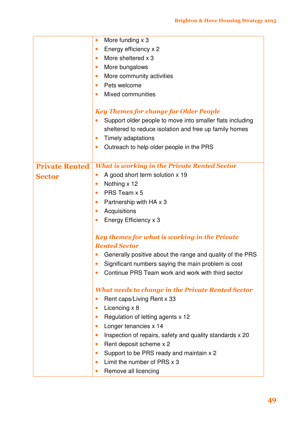|                       | More funding x 3<br>$\bullet$                                          |
|-----------------------|------------------------------------------------------------------------|
|                       | Energy efficiency x 2<br>$\bullet$                                     |
|                       | More sheltered x 3<br>$\bullet$                                        |
|                       | More bungalows<br>$\bullet$                                            |
|                       | More community activities<br>$\bullet$                                 |
|                       | Pets welcome<br>$\bullet$                                              |
|                       | <b>Mixed communities</b><br>$\bullet$                                  |
|                       |                                                                        |
|                       | <b>Key Themes for change for Older People</b>                          |
|                       | Support older people to move into smaller flats including<br>$\bullet$ |
|                       | sheltered to reduce isolation and free up family homes                 |
|                       | Timely adaptations<br>$\bullet$                                        |
|                       | Outreach to help older people in the PRS<br>$\bullet$                  |
|                       |                                                                        |
| <b>Private Rented</b> | <b>What is working in the Private Rented Sector</b>                    |
| <b>Sector</b>         | A good short term solution x 19<br>$\bullet$                           |
|                       | Nothing x 12<br>$\bullet$                                              |
|                       | PRS Team x 5<br>$\bullet$                                              |
|                       | Partnership with HA x 3<br>$\bullet$                                   |
|                       | Acquisitions<br>$\bullet$                                              |
|                       | Energy Efficiency x 3<br>$\bullet$                                     |
|                       | <b>Key themes for what is working in the Private</b>                   |
|                       | <b>Rented Sector</b>                                                   |
|                       | Generally positive about the range and quality of the PRS              |
|                       | Significant numbers saying the main problem is cost                    |
|                       | Continue PRS Team work and work with third sector                      |
|                       | <b>What needs to change in the Private Rented Sector</b>               |
|                       | Rent caps/Living Rent x 33<br>$\bullet$                                |
|                       | Licencing x 8<br>$\bullet$                                             |
|                       | Regulation of letting agents x 12<br>$\bullet$                         |
|                       | Longer tenancies x 14<br>$\bullet$                                     |
|                       | Inspection of repairs, safety and quality standards x 20<br>$\bullet$  |
|                       | Rent deposit scheme x 2<br>$\bullet$                                   |
|                       | Support to be PRS ready and maintain x 2<br>$\bullet$                  |
|                       | Limit the number of PRS x 3<br>$\bullet$                               |
|                       | Remove all licencing<br>$\bullet$                                      |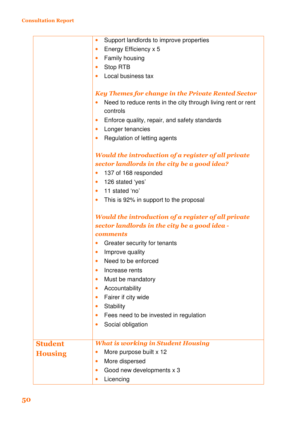|                | Support landlords to improve properties<br>$\bullet$         |
|----------------|--------------------------------------------------------------|
|                | Energy Efficiency x 5<br>$\bullet$                           |
|                | Family housing<br>$\bullet$                                  |
|                | Stop RTB                                                     |
|                | Local business tax<br>$\bullet$                              |
|                |                                                              |
|                | <b>Key Themes for change in the Private Rented Sector</b>    |
|                | Need to reduce rents in the city through living rent or rent |
|                | controls                                                     |
|                | Enforce quality, repair, and safety standards                |
|                | Longer tenancies                                             |
|                | Regulation of letting agents<br>$\bullet$                    |
|                |                                                              |
|                | Would the introduction of a register of all private          |
|                | sector landlords in the city be a good idea?                 |
|                | 137 of 168 responded<br>$\bullet$                            |
|                | 126 stated 'yes'<br>$\bullet$                                |
|                | 11 stated 'no'<br>$\bullet$                                  |
|                | This is 92% in support to the proposal<br>$\bullet$          |
|                | Would the introduction of a register of all private          |
|                | sector landlords in the city be a good idea -                |
|                | <b>comments</b>                                              |
|                | Greater security for tenants                                 |
|                | Improve quality                                              |
|                | Need to be enforced                                          |
|                | Increase rents                                               |
|                | Must be mandatory                                            |
|                | Accountability<br>$\bullet$                                  |
|                | Fairer if city wide                                          |
|                | Stability                                                    |
|                | Fees need to be invested in regulation                       |
|                | Social obligation                                            |
|                |                                                              |
| <b>Student</b> | <b>What is working in Student Housing</b>                    |
| <b>Housing</b> | More purpose built x 12<br>$\bullet$                         |
|                | More dispersed<br>$\bullet$                                  |
|                | Good new developments x 3<br>$\bullet$                       |
|                | Licencing                                                    |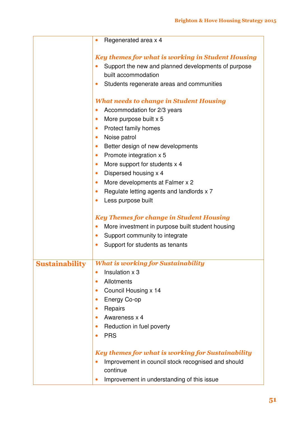|                       | Regenerated area x 4<br>$\bullet$                                                                                                                                                                               |
|-----------------------|-----------------------------------------------------------------------------------------------------------------------------------------------------------------------------------------------------------------|
|                       | <b>Key themes for what is working in Student Housing</b><br>Support the new and planned developments of purpose<br>$\bullet$<br>built accommodation<br>Students regenerate areas and communities<br>$\bullet$   |
|                       | <b>What needs to change in Student Housing</b>                                                                                                                                                                  |
|                       | Accommodation for 2/3 years<br>$\bullet$                                                                                                                                                                        |
|                       | More purpose built x 5<br>$\bullet$                                                                                                                                                                             |
|                       | <b>Protect family homes</b><br>$\bullet$                                                                                                                                                                        |
|                       | Noise patrol<br>$\bullet$                                                                                                                                                                                       |
|                       | Better design of new developments<br>$\bullet$<br>Promote integration x 5<br>$\bullet$                                                                                                                          |
|                       | More support for students x 4<br>$\bullet$                                                                                                                                                                      |
|                       | Dispersed housing x 4<br>$\bullet$                                                                                                                                                                              |
|                       | More developments at Falmer x 2<br>$\bullet$                                                                                                                                                                    |
|                       | Regulate letting agents and landlords x 7<br>$\bullet$                                                                                                                                                          |
|                       | Less purpose built<br>$\bullet$                                                                                                                                                                                 |
|                       | <b>Key Themes for change in Student Housing</b><br>More investment in purpose built student housing<br>$\bullet$<br>Support community to integrate<br>$\bullet$<br>Support for students as tenants<br>$\bullet$ |
| <b>Sustainability</b> | <b>What is working for Sustainability</b>                                                                                                                                                                       |
|                       | Insulation x 3<br>$\bullet$                                                                                                                                                                                     |
|                       | Allotments<br>$\bullet$                                                                                                                                                                                         |
|                       | Council Housing x 14<br>$\bullet$                                                                                                                                                                               |
|                       | Energy Co-op<br>$\bullet$                                                                                                                                                                                       |
|                       | Repairs<br>$\bullet$<br>Awareness x 4<br>$\bullet$                                                                                                                                                              |
|                       | Reduction in fuel poverty<br>$\bullet$                                                                                                                                                                          |
|                       | <b>PRS</b><br>$\bullet$                                                                                                                                                                                         |
|                       |                                                                                                                                                                                                                 |
|                       | <b>Key themes for what is working for Sustainability</b>                                                                                                                                                        |
|                       | Improvement in council stock recognised and should<br>$\bullet$                                                                                                                                                 |
|                       | continue                                                                                                                                                                                                        |
|                       | Improvement in understanding of this issue<br>$\bullet$                                                                                                                                                         |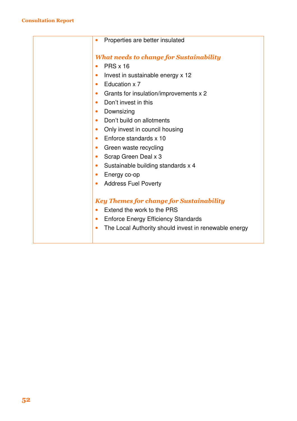| Properties are better insulated<br>$\bullet$                       |
|--------------------------------------------------------------------|
| <b>What needs to change for Sustainability</b>                     |
| <b>PRS x 16</b><br>$\bullet$                                       |
| Invest in sustainable energy x 12<br>$\bullet$                     |
| Education x 7<br>$\bullet$                                         |
| Grants for insulation/improvements x 2<br>$\bullet$                |
| Don't invest in this<br>$\bullet$                                  |
| Downsizing<br>$\bullet$                                            |
| Don't build on allotments<br>$\bullet$                             |
| Only invest in council housing<br>$\bullet$                        |
| Enforce standards x 10<br>$\bullet$                                |
| Green waste recycling<br>$\bullet$                                 |
| Scrap Green Deal x 3<br>$\bullet$                                  |
| Sustainable building standards x 4<br>$\bullet$                    |
| Energy co-op<br>$\bullet$                                          |
| <b>Address Fuel Poverty</b><br>$\bullet$                           |
|                                                                    |
| <b>Key Themes for change for Sustainability</b>                    |
| Extend the work to the PRS<br>$\bullet$                            |
| <b>Enforce Energy Efficiency Standards</b><br>$\bullet$            |
| The Local Authority should invest in renewable energy<br>$\bullet$ |
|                                                                    |
|                                                                    |